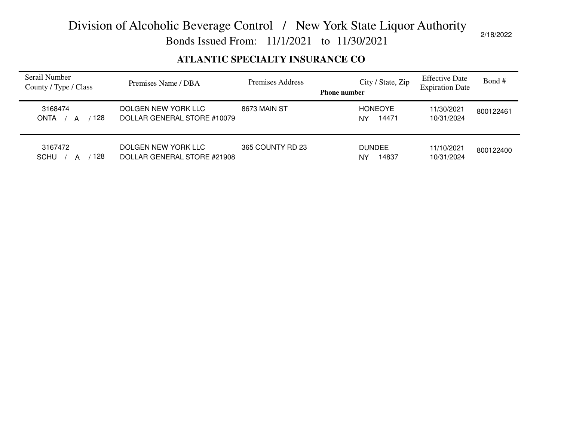Bonds Issued From: 11/1/2021 to 11/30/2021

2/18/2022

#### **ATLANTIC SPECIALTY INSURANCE CO**

| Serail Number<br>County / Type / Class | Premises Name / DBA                                | Premises Address | City / State, Zip<br><b>Phone number</b> | <b>Effective Date</b><br><b>Expiration Date</b> | Bond#     |
|----------------------------------------|----------------------------------------------------|------------------|------------------------------------------|-------------------------------------------------|-----------|
| 3168474<br>128<br><b>ONTA</b><br>А     | DOLGEN NEW YORK LLC<br>DOLLAR GENERAL STORE #10079 | 8673 MAIN ST     | <b>HONEOYE</b><br>14471<br>NY            | 11/30/2021<br>10/31/2024                        | 800122461 |
| 3167472<br><b>SCHU</b><br>128<br>А     | DOLGEN NEW YORK LLC<br>DOLLAR GENERAL STORE #21908 | 365 COUNTY RD 23 | <b>DUNDEE</b><br>14837<br>NY             | 11/10/2021<br>10/31/2024                        | 800122400 |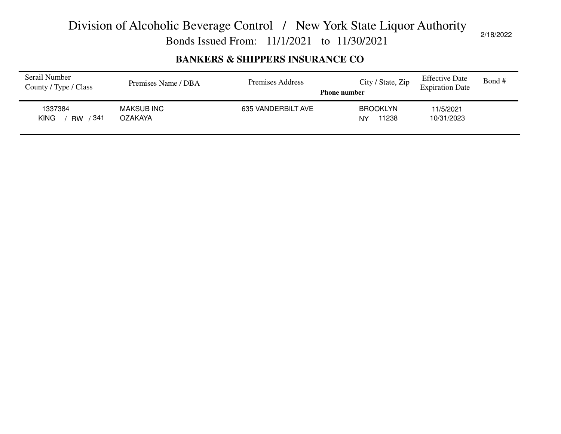Bonds Issued From: 11/1/2021 to 11/30/2021

#### **BANKERS & SHIPPERS INSURANCE CO**

| Serail Number<br>County / Type / Class      | Premises Name / DBA          | Premises Address   | City / State, Zip<br><b>Phone number</b> | <b>Effective Date</b><br><b>Expiration Date</b> | Bond # |
|---------------------------------------------|------------------------------|--------------------|------------------------------------------|-------------------------------------------------|--------|
| 1337384<br>∘341<br><b>KING</b><br><b>RW</b> | <b>MAKSUB INC</b><br>OZAKAYA | 635 VANDERBILT AVE | <b>BROOKLYN</b><br>11238<br>NΥ           | 11/5/2021<br>10/31/2023                         |        |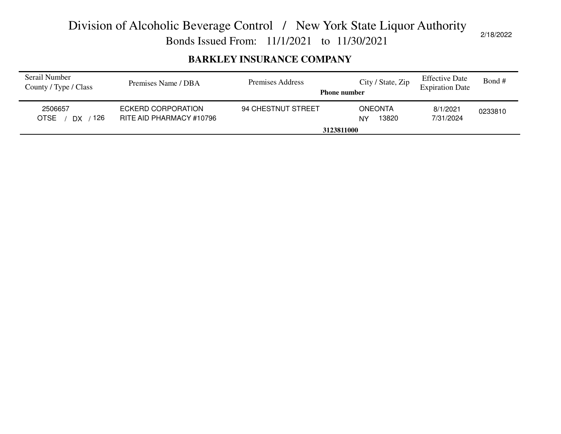Bonds Issued From: 11/1/2021 to 11/30/2021

#### **BARKLEY INSURANCE COMPANY**

| ECKERD CORPORATION<br>94 CHESTNUT STREET<br>2506657<br><b>ONEONTA</b><br>8/1/2021<br>0233810<br>126<br><b>OTSE</b><br>7/31/2024<br>RITE AID PHARMACY #10796<br>13820<br>DX<br>NΥ<br>3123811000 | Serail Number<br>County / Type / Class | Premises Name / DBA | Premises Address<br><b>Phone number</b> | City / State, Zip | <b>Effective Date</b><br><b>Expiration Date</b> | Bond # |
|------------------------------------------------------------------------------------------------------------------------------------------------------------------------------------------------|----------------------------------------|---------------------|-----------------------------------------|-------------------|-------------------------------------------------|--------|
|                                                                                                                                                                                                |                                        |                     |                                         |                   |                                                 |        |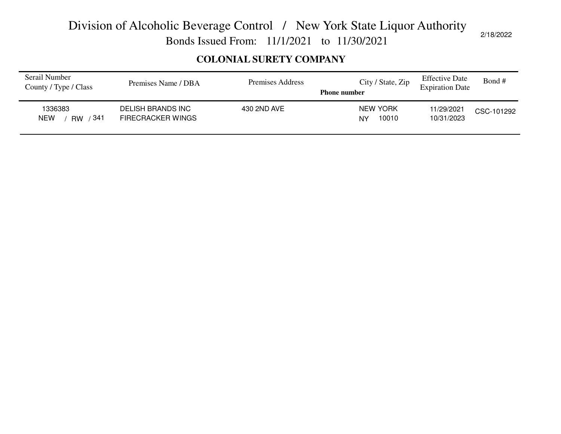Bonds Issued From: 11/1/2021 to 11/30/2021

#### **COLONIAL SURETY COMPANY**

| Serail Number<br>County / Type / Class    | Premises Name / DBA                           | Premises Address | City / State, Zip<br><b>Phone number</b> | <b>Effective Date</b><br><b>Expiration Date</b> | Bond #     |
|-------------------------------------------|-----------------------------------------------|------------------|------------------------------------------|-------------------------------------------------|------------|
| 1336383<br>341<br><b>NEW</b><br><b>RW</b> | DELISH BRANDS INC<br><b>FIRECRACKER WINGS</b> | 430 2ND AVE      | NEW YORK<br>10010<br>NY                  | 11/29/2021<br>10/31/2023                        | CSC-101292 |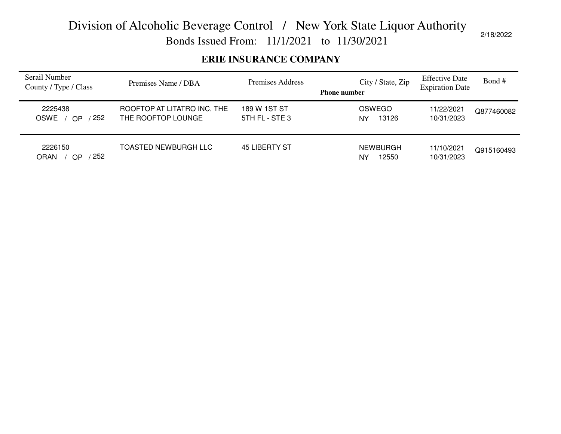Bonds Issued From: 11/1/2021 to 11/30/2021

#### **ERIE INSURANCE COMPANY**

| Serail Number<br>County / Type / Class     | Premises Name / DBA                               | Premises Address               | City / State, Zip<br><b>Phone number</b> | <b>Effective Date</b><br><b>Expiration Date</b> | Bond#      |
|--------------------------------------------|---------------------------------------------------|--------------------------------|------------------------------------------|-------------------------------------------------|------------|
| 2225438<br>252<br><b>OSWE</b><br><b>OP</b> | ROOFTOP AT LITATRO INC, THE<br>THE ROOFTOP LOUNGE | 189 W 1ST ST<br>5TH FL - STE 3 | OSWEGO<br>13126<br>NY                    | 11/22/2021<br>10/31/2023                        | Q877460082 |
| 2226150<br>252<br><b>ORAN</b><br>OΡ        | TOASTED NEWBURGH LLC                              | 45 LIBERTY ST                  | <b>NEWBURGH</b><br>12550<br>NY           | 11/10/2021<br>10/31/2023                        | Q915160493 |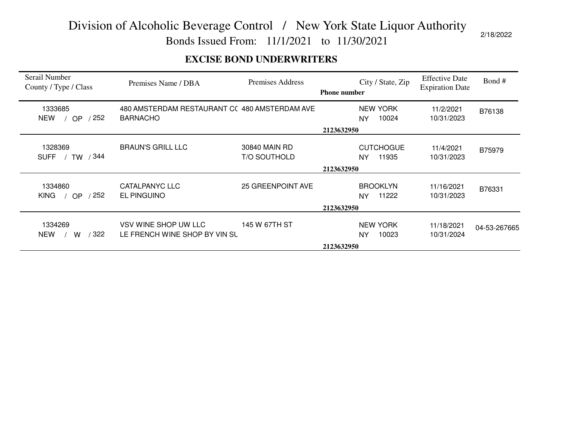Bonds Issued From: 11/1/2021 to 11/30/2021

#### **EXCISE BOND UNDERWRITERS**

| Serail Number<br>County / Type / Class     | Premises Name / DBA                                              | Premises Address                     | <b>Phone number</b> | City / State, Zip                      | <b>Effective Date</b><br><b>Expiration Date</b> | Bond#        |
|--------------------------------------------|------------------------------------------------------------------|--------------------------------------|---------------------|----------------------------------------|-------------------------------------------------|--------------|
| 1333685<br>252<br><b>NEW</b><br><b>OP</b>  | 480 AMSTERDAM RESTAURANT CC 480 AMSTERDAM AVE<br><b>BARNACHO</b> |                                      |                     | <b>NEW YORK</b><br>10024<br>NY         | 11/2/2021<br>10/31/2023                         | B76138       |
|                                            |                                                                  |                                      | 2123632950          |                                        |                                                 |              |
| 1328369<br>/344<br><b>SUFF</b><br>TW       | <b>BRAUN'S GRILL LLC</b>                                         | 30840 MAIN RD<br><b>T/O SOUTHOLD</b> |                     | <b>CUTCHOGUE</b><br>11935<br><b>NY</b> | 11/4/2021<br>10/31/2023                         | B75979       |
|                                            |                                                                  |                                      | 2123632950          |                                        |                                                 |              |
| 1334860<br>252<br><b>KING</b><br><b>OP</b> | CATALPANYC LLC<br><b>EL PINGUINO</b>                             | <b>25 GREENPOINT AVE</b>             |                     | <b>BROOKLYN</b><br>11222<br><b>NY</b>  | 11/16/2021<br>10/31/2023                        | B76331       |
|                                            |                                                                  |                                      | 2123632950          |                                        |                                                 |              |
| 1334269<br>/ 322<br><b>NEW</b><br>w        | VSV WINE SHOP UW LLC<br>LE FRENCH WINE SHOP BY VIN SL            | 145 W 67TH ST                        |                     | <b>NEW YORK</b><br>10023<br><b>NY</b>  | 11/18/2021<br>10/31/2024                        | 04-53-267665 |
|                                            |                                                                  |                                      | 2123632950          |                                        |                                                 |              |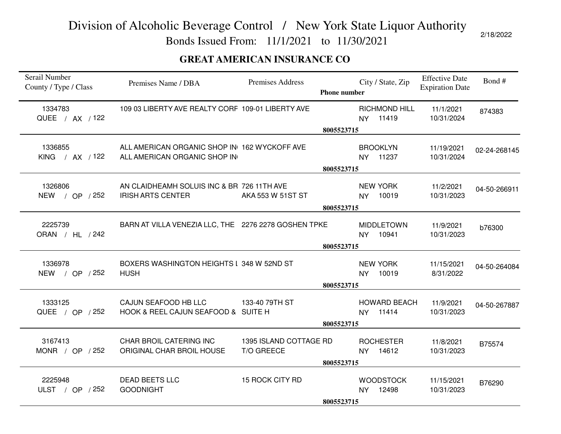Bonds Issued From: 11/1/2021 to 11/30/2021

#### **GREAT AMERICAN INSURANCE CO**

| Premises Name / DBA                                  | Premises Address  |                                                                                                                                                                                                                                                                     | City / State, Zip                                                              | <b>Effective Date</b><br><b>Expiration Date</b>                                                                                     | Bond #              |
|------------------------------------------------------|-------------------|---------------------------------------------------------------------------------------------------------------------------------------------------------------------------------------------------------------------------------------------------------------------|--------------------------------------------------------------------------------|-------------------------------------------------------------------------------------------------------------------------------------|---------------------|
|                                                      |                   |                                                                                                                                                                                                                                                                     | <b>RICHMOND HILL</b><br>NY 11419                                               | 11/1/2021<br>10/31/2024                                                                                                             | 874383              |
|                                                      |                   |                                                                                                                                                                                                                                                                     |                                                                                |                                                                                                                                     |                     |
|                                                      |                   |                                                                                                                                                                                                                                                                     | <b>BROOKLYN</b><br>11237<br><b>NY</b>                                          | 11/19/2021<br>10/31/2024                                                                                                            | 02-24-268145        |
|                                                      |                   |                                                                                                                                                                                                                                                                     |                                                                                |                                                                                                                                     |                     |
| <b>IRISH ARTS CENTER</b>                             | AKA 553 W 51ST ST |                                                                                                                                                                                                                                                                     | <b>NEW YORK</b><br>10019<br><b>NY</b>                                          | 11/2/2021<br>10/31/2023                                                                                                             | 04-50-266911        |
|                                                      |                   |                                                                                                                                                                                                                                                                     |                                                                                |                                                                                                                                     |                     |
|                                                      |                   |                                                                                                                                                                                                                                                                     | <b>MIDDLETOWN</b><br>10941<br><b>NY</b>                                        | 11/9/2021<br>10/31/2023                                                                                                             | b76300              |
|                                                      |                   |                                                                                                                                                                                                                                                                     |                                                                                |                                                                                                                                     |                     |
| <b>HUSH</b>                                          |                   |                                                                                                                                                                                                                                                                     | <b>NEW YORK</b><br>10019<br><b>NY</b>                                          | 11/15/2021<br>8/31/2022                                                                                                             | 04-50-264084        |
| CAJUN SEAFOOD HB LLC                                 | 133-40 79TH ST    |                                                                                                                                                                                                                                                                     | NY 11414                                                                       | 11/9/2021<br>10/31/2023                                                                                                             | 04-50-267887        |
|                                                      |                   |                                                                                                                                                                                                                                                                     |                                                                                |                                                                                                                                     |                     |
| CHAR BROIL CATERING INC<br>ORIGINAL CHAR BROIL HOUSE | T/O GREECE        |                                                                                                                                                                                                                                                                     | <b>ROCHESTER</b><br>14612<br><b>NY</b>                                         | 11/8/2021<br>10/31/2023                                                                                                             | B75574              |
|                                                      |                   |                                                                                                                                                                                                                                                                     |                                                                                |                                                                                                                                     |                     |
| <b>DEAD BEETS LLC</b><br><b>GOODNIGHT</b>            | 15 ROCK CITY RD   |                                                                                                                                                                                                                                                                     | <b>WOODSTOCK</b><br>12498<br><b>NY</b>                                         | 11/15/2021<br>10/31/2023                                                                                                            | B76290              |
|                                                      |                   | 109 03 LIBERTY AVE REALTY CORF 109-01 LIBERTY AVE<br>ALL AMERICAN ORGANIC SHOP IN 162 WYCKOFF AVE<br>ALL AMERICAN ORGANIC SHOP IN<br>AN CLAIDHEAMH SOLUIS INC & BR 726 11TH AVE<br>BOXERS WASHINGTON HEIGHTS I 348 W 52ND ST<br>HOOK & REEL CAJUN SEAFOOD & SUITE H | BARN AT VILLA VENEZIA LLC, THE 2276 2278 GOSHEN TPKE<br>1395 ISLAND COTTAGE RD | <b>Phone number</b><br>8005523715<br>8005523715<br>8005523715<br>8005523715<br>8005523715<br>8005523715<br>8005523715<br>8005523715 | <b>HOWARD BEACH</b> |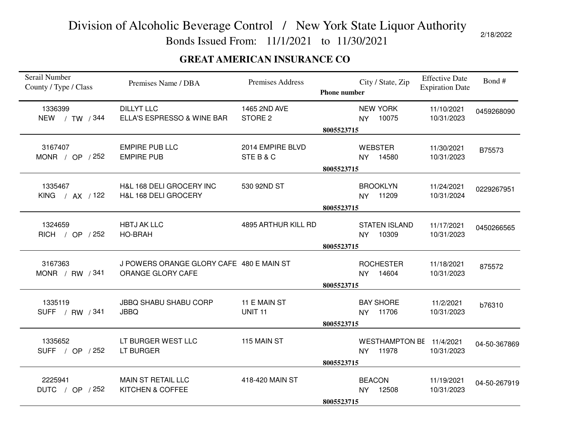Bonds Issued From: 11/1/2021 to 11/30/2021

#### **GREAT AMERICAN INSURANCE CO**

| Serail Number<br>County / Type / Class | Premises Name / DBA                                           | <b>Premises Address</b>            | <b>Phone number</b> |                            | City / State, Zip                 | <b>Effective Date</b><br><b>Expiration Date</b> | Bond#        |
|----------------------------------------|---------------------------------------------------------------|------------------------------------|---------------------|----------------------------|-----------------------------------|-------------------------------------------------|--------------|
| 1336399<br>NEW / TW / 344              | <b>DILLYT LLC</b><br>ELLA'S ESPRESSO & WINE BAR               | 1465 2ND AVE<br>STORE <sub>2</sub> |                     | <b>NY</b>                  | <b>NEW YORK</b><br>10075          | 11/10/2021<br>10/31/2023                        | 0459268090   |
|                                        |                                                               |                                    | 8005523715          |                            |                                   |                                                 |              |
| 3167407<br>MONR / OP / 252             | <b>EMPIRE PUB LLC</b><br><b>EMPIRE PUB</b>                    | 2014 EMPIRE BLVD<br>STEB&C         |                     | <b>NY</b>                  | <b>WEBSTER</b><br>14580           | 11/30/2021<br>10/31/2023                        | B75573       |
|                                        |                                                               |                                    | 8005523715          |                            |                                   |                                                 |              |
| 1335467<br>KING / AX / 122             | H&L 168 DELI GROCERY INC<br>H&L 168 DELI GROCERY              | 530 92ND ST                        |                     |                            | <b>BROOKLYN</b><br>NY 11209       | 11/24/2021<br>10/31/2024                        | 0229267951   |
|                                        |                                                               |                                    | 8005523715          |                            |                                   |                                                 |              |
| 1324659<br>RICH / OP / 252             | <b>HBTJ AK LLC</b><br><b>HO-BRAH</b>                          | 4895 ARTHUR KILL RD                |                     | <b>NY</b>                  | <b>STATEN ISLAND</b><br>10309     | 11/17/2021<br>10/31/2023                        | 0450266565   |
|                                        |                                                               |                                    | 8005523715          |                            |                                   |                                                 |              |
| 3167363<br>MONR / RW / 341             | J POWERS ORANGE GLORY CAFE 480 E MAIN ST<br>ORANGE GLORY CAFE |                                    | 8005523715          | <b>NY</b>                  | <b>ROCHESTER</b><br>14604         | 11/18/2021<br>10/31/2023                        | 875572       |
| 1335119<br>SUFF / RW / 341             | <b>JBBQ SHABU SHABU CORP</b><br><b>JBBQ</b>                   | 11 E MAIN ST<br><b>UNIT 11</b>     |                     |                            | <b>BAY SHORE</b><br>NY 11706      | 11/2/2021<br>10/31/2023                         | b76310       |
|                                        |                                                               |                                    | 8005523715          |                            |                                   |                                                 |              |
| 1335652<br>SUFF / OP / 252             | LT BURGER WEST LLC<br>LT BURGER                               | 115 MAIN ST                        |                     | <b>NY</b>                  | WESTHAMPTON BE 11/4/2021<br>11978 | 10/31/2023                                      | 04-50-367869 |
|                                        |                                                               |                                    | 8005523715          |                            |                                   |                                                 |              |
| 2225941<br>DUTC / OP / 252             | MAIN ST RETAIL LLC<br>KITCHEN & COFFEE                        | 418-420 MAIN ST                    | 8005523715          | <b>BEACON</b><br><b>NY</b> | 12508                             | 11/19/2021<br>10/31/2023                        | 04-50-267919 |
|                                        |                                                               |                                    |                     |                            |                                   |                                                 |              |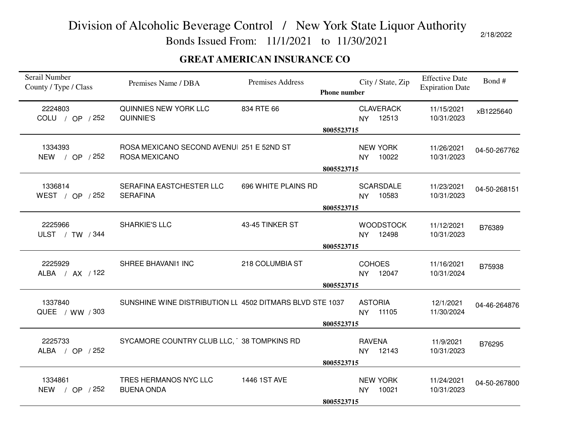Bonds Issued From: 11/1/2021 to 11/30/2021

#### **GREAT AMERICAN INSURANCE CO**

| Serail Number<br>County / Type / Class | Premises Name / DBA                                        | Premises Address    | <b>Phone number</b> |                             | City / State, Zip            | <b>Effective Date</b><br><b>Expiration Date</b> | Bond#        |
|----------------------------------------|------------------------------------------------------------|---------------------|---------------------|-----------------------------|------------------------------|-------------------------------------------------|--------------|
| 2224803<br>COLU / OP / 252             | QUINNIES NEW YORK LLC<br>QUINNIE'S                         | 834 RTE 66          |                     |                             | <b>CLAVERACK</b><br>NY 12513 | 11/15/2021<br>10/31/2023                        | xB1225640    |
|                                        |                                                            |                     | 8005523715          |                             |                              |                                                 |              |
| 1334393<br>NEW / OP / 252              | ROSA MEXICANO SECOND AVENUI 251 E 52ND ST<br>ROSA MEXICANO |                     |                     | <b>NY</b>                   | <b>NEW YORK</b><br>10022     | 11/26/2021<br>10/31/2023                        | 04-50-267762 |
|                                        |                                                            |                     | 8005523715          |                             |                              |                                                 |              |
| 1336814<br>WEST / OP / 252             | SERAFINA EASTCHESTER LLC<br><b>SERAFINA</b>                | 696 WHITE PLAINS RD |                     | <b>NY</b>                   | <b>SCARSDALE</b><br>10583    | 11/23/2021<br>10/31/2023                        | 04-50-268151 |
|                                        |                                                            |                     | 8005523715          |                             |                              |                                                 |              |
| 2225966<br>ULST / TW / 344             | <b>SHARKIE'S LLC</b>                                       | 43-45 TINKER ST     |                     | <b>NY</b>                   | <b>WOODSTOCK</b><br>12498    | 11/12/2021<br>10/31/2023                        | B76389       |
|                                        |                                                            |                     | 8005523715          |                             |                              |                                                 |              |
| 2225929<br>ALBA / AX / 122             | SHREE BHAVANI1 INC                                         | 218 COLUMBIA ST     |                     | <b>COHOES</b><br><b>NY</b>  | 12047                        | 11/16/2021<br>10/31/2024                        | B75938       |
|                                        |                                                            |                     | 8005523715          |                             |                              |                                                 |              |
| 1337840<br>QUEE / WW / 303             | SUNSHINE WINE DISTRIBUTION LL 4502 DITMARS BLVD STE 1037   |                     |                     | <b>ASTORIA</b><br><b>NY</b> | 11105                        | 12/1/2021<br>11/30/2024                         | 04-46-264876 |
|                                        |                                                            |                     | 8005523715          |                             |                              |                                                 |              |
| 2225733<br>ALBA / OP / 252             | SYCAMORE COUNTRY CLUB LLC, 38 TOMPKINS RD                  |                     |                     | <b>RAVENA</b>               | NY 12143                     | 11/9/2021<br>10/31/2023                         | B76295       |
|                                        |                                                            |                     | 8005523715          |                             |                              |                                                 |              |
| 1334861<br>NEW / OP / 252              | TRES HERMANOS NYC LLC<br><b>BUENA ONDA</b>                 | 1446 1ST AVE        |                     | <b>NY</b>                   | <b>NEW YORK</b><br>10021     | 11/24/2021<br>10/31/2023                        | 04-50-267800 |
|                                        |                                                            |                     | 8005523715          |                             |                              |                                                 |              |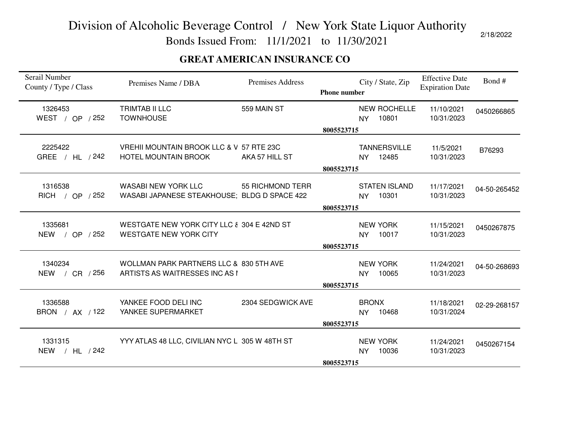Bonds Issued From: 11/1/2021 to 11/30/2021

#### **GREAT AMERICAN INSURANCE CO**

| Serail Number<br>County / Type / Class | Premises Name / DBA                                                         | Premises Address  | <b>Phone number</b> | City / State, Zip                         | <b>Effective Date</b><br><b>Expiration Date</b> | Bond #       |
|----------------------------------------|-----------------------------------------------------------------------------|-------------------|---------------------|-------------------------------------------|-------------------------------------------------|--------------|
| 1326453<br>WEST / OP / 252             | <b>TRIMTAB II LLC</b><br><b>TOWNHOUSE</b>                                   | 559 MAIN ST       |                     | <b>NEW ROCHELLE</b><br>10801<br><b>NY</b> | 11/10/2021<br>10/31/2023                        | 0450266865   |
|                                        |                                                                             |                   | 8005523715          |                                           |                                                 |              |
| 2225422<br>GREE / HL / 242             | VREHII MOUNTAIN BROOK LLC & V 57 RTE 23C<br><b>HOTEL MOUNTAIN BROOK</b>     | AKA 57 HILL ST    |                     | <b>TANNERSVILLE</b><br>12485<br><b>NY</b> | 11/5/2021<br>10/31/2023                         | B76293       |
|                                        |                                                                             |                   | 8005523715          |                                           |                                                 |              |
| 1316538<br>RICH / OP / 252             | WASABI NEW YORK LLC<br>WASABI JAPANESE STEAKHOUSE; BLDG D SPACE 422         | 55 RICHMOND TERR  |                     | <b>STATEN ISLAND</b><br>10301<br>NY       | 11/17/2021<br>10/31/2023                        | 04-50-265452 |
|                                        |                                                                             |                   | 8005523715          |                                           |                                                 |              |
| 1335681<br>NEW / OP / 252              | WESTGATE NEW YORK CITY LLC & 304 E 42ND ST<br><b>WESTGATE NEW YORK CITY</b> |                   |                     | <b>NEW YORK</b><br>10017<br><b>NY</b>     | 11/15/2021<br>10/31/2023                        | 0450267875   |
|                                        |                                                                             |                   | 8005523715          |                                           |                                                 |              |
| 1340234<br>NEW / CR / 256              | WOLLMAN PARK PARTNERS LLC & 830 5TH AVE<br>ARTISTS AS WAITRESSES INC AS I   |                   |                     | <b>NEW YORK</b><br>10065<br>NY.           | 11/24/2021<br>10/31/2023                        | 04-50-268693 |
|                                        |                                                                             |                   | 8005523715          |                                           |                                                 |              |
| 1336588<br>BRON / AX / 122             | YANKEE FOOD DELI INC<br>YANKEE SUPERMARKET                                  | 2304 SEDGWICK AVE |                     | <b>BRONX</b><br>10468<br><b>NY</b>        | 11/18/2021<br>10/31/2024                        | 02-29-268157 |
|                                        |                                                                             |                   | 8005523715          |                                           |                                                 |              |
| 1331315<br>NEW / HL / 242              | YYY ATLAS 48 LLC, CIVILIAN NYC L 305 W 48TH ST                              |                   |                     | <b>NEW YORK</b><br>10036<br>NY            | 11/24/2021<br>10/31/2023                        | 0450267154   |
|                                        |                                                                             |                   | 8005523715          |                                           |                                                 |              |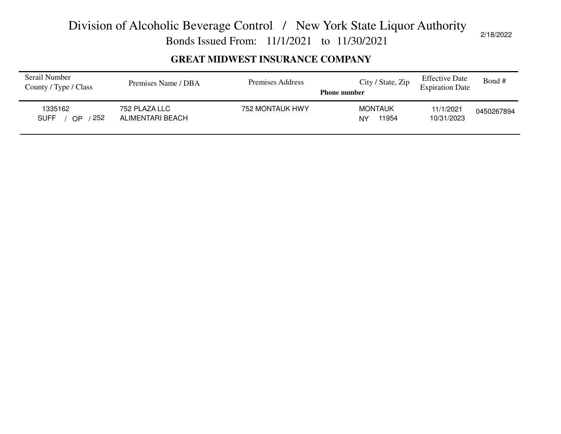Bonds Issued From: 11/1/2021 to 11/30/2021

2/18/2022

#### **GREAT MIDWEST INSURANCE COMPANY**

| Serail Number<br>County / Type / Class | Premises Name / DBA               | Premises Address | City / State, Zip<br><b>Phone number</b> | <b>Effective Date</b><br><b>Expiration Date</b> | Bond#      |
|----------------------------------------|-----------------------------------|------------------|------------------------------------------|-------------------------------------------------|------------|
| 1335162<br>252<br><b>SUFF</b><br>OP    | 752 PLAZA LLC<br>ALIMENTARI BEACH | 752 MONTAUK HWY  | <b>MONTAUK</b><br>11954<br>NY            | 11/1/2021<br>10/31/2023                         | 0450267894 |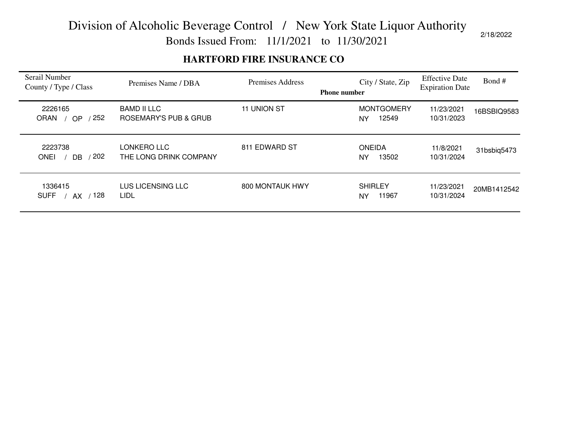Bonds Issued From: 11/1/2021 to 11/30/2021

#### **HARTFORD FIRE INSURANCE CO**

| Serail Number<br>County / Type / Class     | Premises Name / DBA                         | Premises Address | City / State, Zip<br><b>Phone number</b> | <b>Effective Date</b><br><b>Expiration Date</b> | Bond #      |
|--------------------------------------------|---------------------------------------------|------------------|------------------------------------------|-------------------------------------------------|-------------|
| 2226165<br>252<br><b>ORAN</b><br><b>OP</b> | <b>BAMD II LLC</b><br>ROSEMARY'S PUB & GRUB | 11 UNION ST      | <b>MONTGOMERY</b><br>12549<br>ΝY         | 11/23/2021<br>10/31/2023                        | 16BSBIQ9583 |
| 2223738<br>202<br><b>ONEI</b><br><b>DB</b> | LONKERO LLC<br>THE LONG DRINK COMPANY       | 811 EDWARD ST    | <b>ONEIDA</b><br>13502<br>NY             | 11/8/2021<br>10/31/2024                         | 31bsbiq5473 |
| 1336415<br>128<br><b>SUFF</b><br>AX.       | LUS LICENSING LLC<br>LIDL                   | 800 MONTAUK HWY  | <b>SHIRLEY</b><br>11967<br><b>NY</b>     | 11/23/2021<br>10/31/2024                        | 20MB1412542 |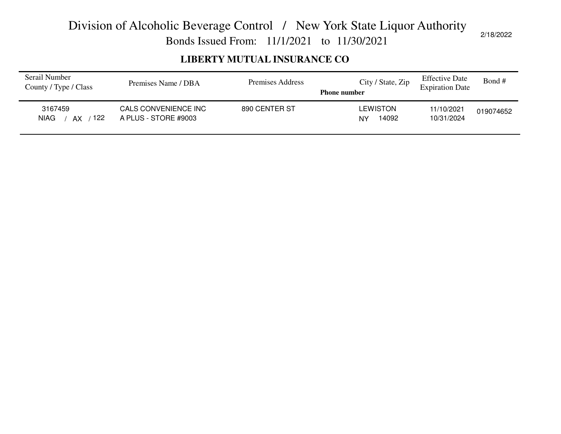Bonds Issued From: 11/1/2021 to 11/30/2021

#### **LIBERTY MUTUAL INSURANCE CO**

| Serail Number<br>County / Type / Class | Premises Name / DBA                          | Premises Address | City / State, Zip<br><b>Phone number</b> | <b>Effective Date</b><br><b>Expiration Date</b> | Bond #    |
|----------------------------------------|----------------------------------------------|------------------|------------------------------------------|-------------------------------------------------|-----------|
| 3167459<br>122<br><b>NIAG</b><br>AX    | CALS CONVENIENCE INC<br>A PLUS - STORE #9003 | 890 CENTER ST    | <b>LEWISTON</b><br>14092<br>NY           | 11/10/2021<br>10/31/2024                        | 019074652 |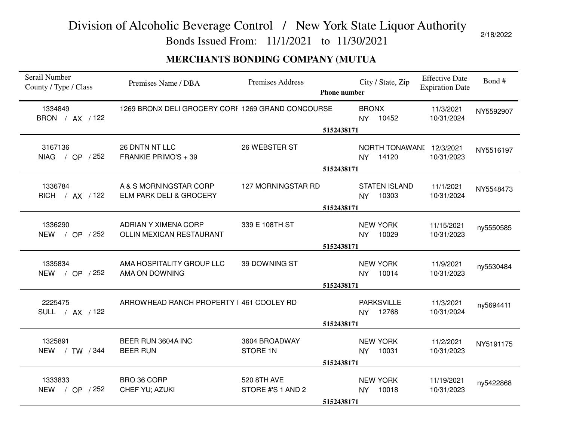Bonds Issued From: 11/1/2021 to 11/30/2021

#### **MERCHANTS BONDING COMPANY (MUTUA**

| Serail Number<br>County / Type / Class | Premises Name / DBA                               | Premises Address                 | <b>Phone number</b> |                              | City / State, Zip                 | <b>Effective Date</b><br><b>Expiration Date</b> | Bond#     |
|----------------------------------------|---------------------------------------------------|----------------------------------|---------------------|------------------------------|-----------------------------------|-------------------------------------------------|-----------|
| 1334849<br>BRON / AX / 122             | 1269 BRONX DELI GROCERY CORF 1269 GRAND CONCOURSE |                                  | 5152438171          | <b>BRONX</b><br>NY 10452     |                                   | 11/3/2021<br>10/31/2024                         | NY5592907 |
| 3167136<br>NIAG / OP / 252             | 26 DNTN NT LLC<br>FRANKIE PRIMO'S + 39            | 26 WEBSTER ST                    | 5152438171          | <b>NY</b>                    | NORTH TONAWANI 12/3/2021<br>14120 | 10/31/2023                                      | NY5516197 |
| 1336784<br>RICH / AX / 122             | A & S MORNINGSTAR CORP<br>ELM PARK DELI & GROCERY | 127 MORNINGSTAR RD               | 5152438171          | <b>NY</b>                    | <b>STATEN ISLAND</b><br>10303     | 11/1/2021<br>10/31/2024                         | NY5548473 |
| 1336290<br>NEW / OP / 252              | ADRIAN Y XIMENA CORP<br>OLLIN MEXICAN RESTAURANT  | 339 E 108TH ST                   | 5152438171          | <b>NEW YORK</b><br><b>NY</b> | 10029                             | 11/15/2021<br>10/31/2023                        | ny5550585 |
| 1335834<br>NEW / OP / 252              | AMA HOSPITALITY GROUP LLC<br>AMA ON DOWNING       | 39 DOWNING ST                    | 5152438171          | <b>NEW YORK</b><br>NY 10014  |                                   | 11/9/2021<br>10/31/2023                         | ny5530484 |
| 2225475<br>SULL / AX / 122             | ARROWHEAD RANCH PROPERTY   461 COOLEY RD          |                                  | 5152438171          | NY 12768                     | <b>PARKSVILLE</b>                 | 11/3/2021<br>10/31/2024                         | ny5694411 |
| 1325891<br>NEW / TW / 344              | BEER RUN 3604A INC<br><b>BEER RUN</b>             | 3604 BROADWAY<br>STORE 1N        | 5152438171          | <b>NEW YORK</b><br><b>NY</b> | 10031                             | 11/2/2021<br>10/31/2023                         | NY5191175 |
| 1333833<br>NEW / OP / 252              | BRO 36 CORP<br>CHEF YU; AZUKI                     | 520 8TH AVE<br>STORE #'S 1 AND 2 | 5152438171          | <b>NEW YORK</b><br><b>NY</b> | 10018                             | 11/19/2021<br>10/31/2023                        | ny5422868 |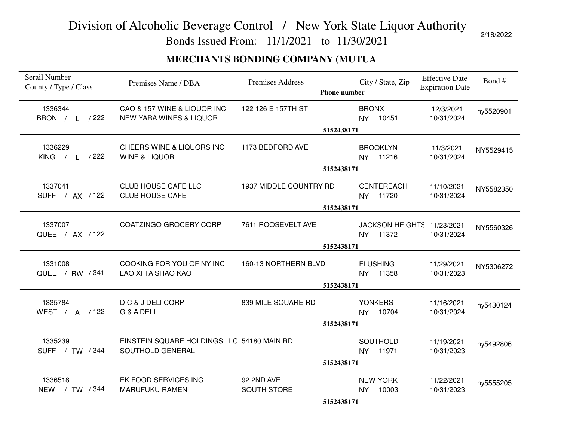Bonds Issued From: 11/1/2021 to 11/30/2021

#### **MERCHANTS BONDING COMPANY (MUTUA**

| Serail Number<br>County / Type / Class  | Premises Name / DBA                                               | Premises Address          | <b>Phone number</b> |              | City / State, Zip                      | <b>Effective Date</b><br><b>Expiration Date</b> | Bond#     |  |
|-----------------------------------------|-------------------------------------------------------------------|---------------------------|---------------------|--------------|----------------------------------------|-------------------------------------------------|-----------|--|
| 1336344<br>BRON / L /222                | CAO & 157 WINE & LIQUOR INC<br><b>NEW YARA WINES &amp; LIQUOR</b> | 122 126 E 157TH ST        |                     | <b>BRONX</b> | NY 10451                               | 12/3/2021<br>10/31/2024                         | ny5520901 |  |
|                                         |                                                                   |                           | 5152438171          |              |                                        |                                                 |           |  |
| 1336229<br><b>KING</b><br>$/$ L $/$ 222 | CHEERS WINE & LIQUORS INC<br><b>WINE &amp; LIQUOR</b>             | 1173 BEDFORD AVE          |                     |              | <b>BROOKLYN</b><br>NY 11216            | 11/3/2021<br>10/31/2024                         | NY5529415 |  |
|                                         |                                                                   |                           | 5152438171          |              |                                        |                                                 |           |  |
| 1337041<br>SUFF / AX / 122              | <b>CLUB HOUSE CAFE LLC</b><br><b>CLUB HOUSE CAFE</b>              | 1937 MIDDLE COUNTRY RD    |                     |              | <b>CENTEREACH</b><br>NY 11720          | 11/10/2021<br>10/31/2024                        | NY5582350 |  |
|                                         |                                                                   | 5152438171                |                     |              |                                        |                                                 |           |  |
| 1337007<br>QUEE / AX / 122              | COATZINGO GROCERY CORP                                            | 7611 ROOSEVELT AVE        |                     |              | JACKSON HEIGHTS 11/23/2021<br>NY 11372 | 10/31/2024                                      | NY5560326 |  |
|                                         |                                                                   |                           | 5152438171          |              |                                        |                                                 |           |  |
| 1331008<br>QUEE / RW / 341              | COOKING FOR YOU OF NY INC<br>LAO XI TA SHAO KAO                   | 160-13 NORTHERN BLVD      | 5152438171          |              | <b>FLUSHING</b><br>NY 11358            | 11/29/2021<br>10/31/2023                        | NY5306272 |  |
| 1335784<br>WEST / A / 122               | D C & J DELI CORP<br>G & A DELI                                   | 839 MILE SQUARE RD        |                     |              | <b>YONKERS</b><br>NY 10704             | 11/16/2021<br>10/31/2024                        | ny5430124 |  |
|                                         |                                                                   |                           | 5152438171          |              |                                        |                                                 |           |  |
| 1335239<br>SUFF / TW / 344              | EINSTEIN SQUARE HOLDINGS LLC 54180 MAIN RD<br>SOUTHOLD GENERAL    |                           |                     |              | <b>SOUTHOLD</b><br>NY 11971            | 11/19/2021<br>10/31/2023                        | ny5492806 |  |
|                                         |                                                                   |                           | 5152438171          |              |                                        |                                                 |           |  |
| 1336518<br>NEW / TW / 344               | EK FOOD SERVICES INC<br><b>MARUFUKU RAMEN</b>                     | 92 2ND AVE<br>SOUTH STORE | 5152438171          | <b>NY</b>    | <b>NEW YORK</b><br>10003               | 11/22/2021<br>10/31/2023                        | ny5555205 |  |
|                                         |                                                                   |                           |                     |              |                                        |                                                 |           |  |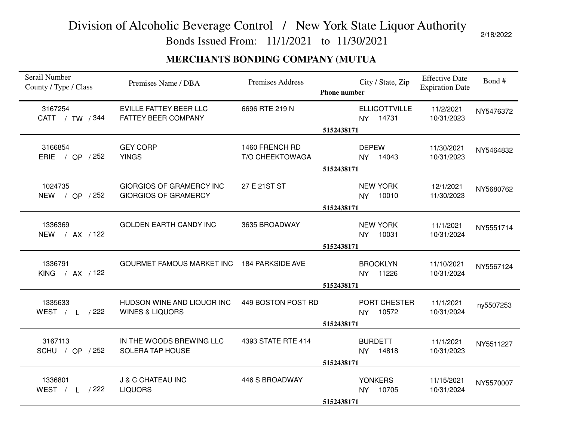Bonds Issued From: 11/1/2021 to 11/30/2021

#### **MERCHANTS BONDING COMPANY (MUTUA**

| Serail Number<br>County / Type / Class | Premises Name / DBA                                            | <b>Premises Address</b> | <b>Phone number</b> | City / State, Zip                | <b>Effective Date</b><br><b>Expiration Date</b> | Bond#     |  |
|----------------------------------------|----------------------------------------------------------------|-------------------------|---------------------|----------------------------------|-------------------------------------------------|-----------|--|
| 3167254<br>CATT / TW / 344             | <b>EVILLE FATTEY BEER LLC</b><br>FATTEY BEER COMPANY           | 6696 RTE 219 N          |                     | <b>ELLICOTTVILLE</b><br>NY 14731 | 11/2/2021<br>10/31/2023                         | NY5476372 |  |
|                                        |                                                                |                         | 5152438171          |                                  |                                                 |           |  |
| 3166854                                | <b>GEY CORP</b>                                                | 1460 FRENCH RD          |                     | <b>DEPEW</b>                     | 11/30/2021                                      | NY5464832 |  |
| ERIE<br>/ OP $/252$                    | <b>YINGS</b>                                                   | T/O CHEEKTOWAGA         |                     | 14043<br>NY ·                    | 10/31/2023                                      |           |  |
|                                        |                                                                |                         | 5152438171          |                                  |                                                 |           |  |
|                                        |                                                                |                         |                     |                                  |                                                 |           |  |
| 1024735<br>NEW / OP / 252              | <b>GIORGIOS OF GRAMERCY INC</b><br><b>GIORGIOS OF GRAMERCY</b> | 27 E 21 ST ST           |                     | <b>NEW YORK</b><br>10010         | 12/1/2021<br>11/30/2023                         | NY5680762 |  |
|                                        |                                                                |                         |                     | <b>NY</b>                        |                                                 |           |  |
|                                        |                                                                |                         | 5152438171          |                                  |                                                 |           |  |
| 1336369                                | <b>GOLDEN EARTH CANDY INC</b>                                  | 3635 BROADWAY           |                     | <b>NEW YORK</b>                  | 11/1/2021                                       | NY5551714 |  |
| NEW / AX / 122                         |                                                                |                         |                     | 10031<br><b>NY</b>               | 10/31/2024                                      |           |  |
|                                        |                                                                |                         | 5152438171          |                                  |                                                 |           |  |
|                                        |                                                                |                         |                     |                                  |                                                 |           |  |
| 1336791                                | GOURMET FAMOUS MARKET INC 184 PARKSIDE AVE                     |                         |                     | <b>BROOKLYN</b>                  | 11/10/2021                                      | NY5567124 |  |
| KING / AX / 122                        |                                                                |                         |                     | NY 11226                         | 10/31/2024                                      |           |  |
|                                        |                                                                |                         | 5152438171          |                                  |                                                 |           |  |
| 1335633                                | HUDSON WINE AND LIQUOR INC                                     | 449 BOSTON POST RD      |                     | PORT CHESTER                     | 11/1/2021                                       | ny5507253 |  |
| WEST / L /222                          | <b>WINES &amp; LIQUORS</b>                                     |                         |                     | 10572<br><b>NY</b>               | 10/31/2024                                      |           |  |
|                                        |                                                                |                         | 5152438171          |                                  |                                                 |           |  |
|                                        |                                                                |                         |                     |                                  |                                                 |           |  |
| 3167113                                | IN THE WOODS BREWING LLC                                       | 4393 STATE RTE 414      |                     | <b>BURDETT</b>                   | 11/1/2021                                       | NY5511227 |  |
| SCHU / OP / 252                        | <b>SOLERA TAP HOUSE</b>                                        |                         |                     | 14818<br>NY ·                    | 10/31/2023                                      |           |  |
|                                        |                                                                |                         | 5152438171          |                                  |                                                 |           |  |
| 1336801                                | J & C CHATEAU INC                                              | 446 S BROADWAY          |                     | <b>YONKERS</b>                   | 11/15/2021                                      |           |  |
| WEST / L /222                          | <b>LIQUORS</b>                                                 |                         |                     | NY 10705                         | 10/31/2024                                      | NY5570007 |  |
|                                        |                                                                |                         | 5152438171          |                                  |                                                 |           |  |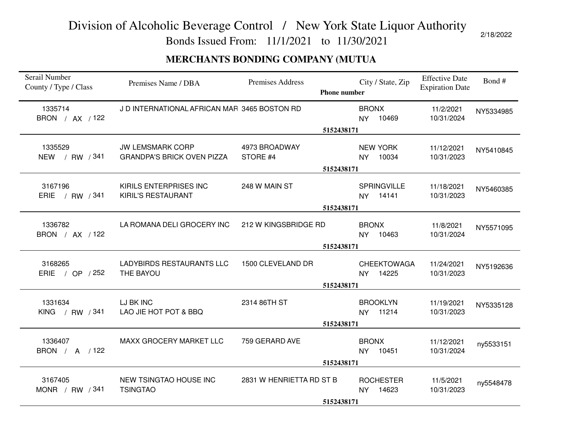Bonds Issued From: 11/1/2021 to 11/30/2021

### **MERCHANTS BONDING COMPANY (MUTUA**

| Serail Number<br>County / Type / Class | Premises Name / DBA                                          | Premises Address          | <b>Phone number</b> | City / State, Zip                        | <b>Effective Date</b><br><b>Expiration Date</b> | Bond#     |  |
|----------------------------------------|--------------------------------------------------------------|---------------------------|---------------------|------------------------------------------|-------------------------------------------------|-----------|--|
| 1335714<br>BRON / AX / 122             | J D INTERNATIONAL AFRICAN MAR 3465 BOSTON RD                 |                           |                     | <b>BRONX</b><br>10469<br><b>NY</b>       | 11/2/2021<br>10/31/2024                         | NY5334985 |  |
|                                        |                                                              |                           | 5152438171          |                                          |                                                 |           |  |
| 1335529<br>NEW / RW / 341              | <b>JW LEMSMARK CORP</b><br><b>GRANDPA'S BRICK OVEN PIZZA</b> | 4973 BROADWAY<br>STORE #4 |                     | <b>NEW YORK</b><br>10034<br><b>NY</b>    | 11/12/2021<br>10/31/2023                        | NY5410845 |  |
|                                        |                                                              |                           | 5152438171          |                                          |                                                 |           |  |
| 3167196<br>ERIE / RW / 341             | KIRILS ENTERPRISES INC<br>KIRIL'S RESTAURANT                 | 248 W MAIN ST             |                     | <b>SPRINGVILLE</b><br>NY 14141           | 11/18/2021<br>10/31/2023                        | NY5460385 |  |
|                                        |                                                              | 5152438171                |                     |                                          |                                                 |           |  |
| 1336782<br>BRON / AX / 122             | LA ROMANA DELI GROCERY INC                                   | 212 W KINGSBRIDGE RD      |                     | <b>BRONX</b><br>10463<br><b>NY</b>       | 11/8/2021<br>10/31/2024                         | NY5571095 |  |
|                                        |                                                              |                           | 5152438171          |                                          |                                                 |           |  |
| 3168265<br>ERIE / OP / 252             | <b>LADYBIRDS RESTAURANTS LLC</b><br>THE BAYOU                | 1500 CLEVELAND DR         |                     | <b>CHEEKTOWAGA</b><br>14225<br><b>NY</b> | 11/24/2021<br>10/31/2023                        | NY5192636 |  |
|                                        |                                                              |                           | 5152438171          |                                          |                                                 |           |  |
| 1331634<br>KING / RW / 341             | LJ BK INC<br>LAO JIE HOT POT & BBQ                           | 2314 86TH ST              |                     | <b>BROOKLYN</b><br>NY 11214              | 11/19/2021<br>10/31/2023                        | NY5335128 |  |
|                                        |                                                              |                           | 5152438171          |                                          |                                                 |           |  |
| 1336407<br>BRON / A / 122              | MAXX GROCERY MARKET LLC                                      | 759 GERARD AVE            |                     | <b>BRONX</b><br>10451<br>NY              | 11/12/2021<br>10/31/2024                        | ny5533151 |  |
|                                        |                                                              |                           | 5152438171          |                                          |                                                 |           |  |
| 3167405<br>MONR / RW $/341$            | NEW TSINGTAO HOUSE INC<br><b>TSINGTAO</b>                    | 2831 W HENRIETTA RD ST B  |                     | <b>ROCHESTER</b><br>14623<br><b>NY</b>   | 11/5/2021<br>10/31/2023                         | ny5548478 |  |
|                                        |                                                              |                           | 5152438171          |                                          |                                                 |           |  |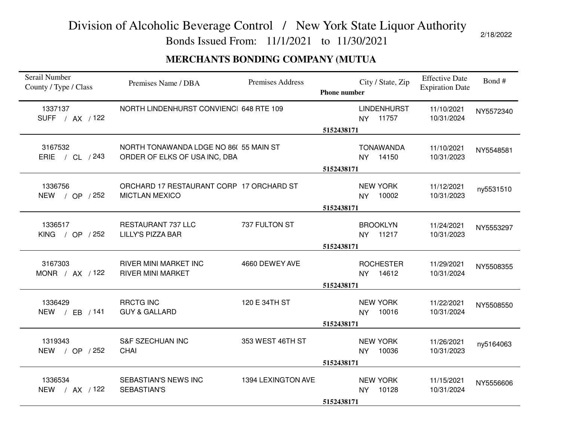Bonds Issued From: 11/1/2021 to 11/30/2021

#### **MERCHANTS BONDING COMPANY (MUTUA**

| Serail Number<br>County / Type / Class | Premises Name / DBA                                                    | Premises Address   | <b>Phone number</b> | City / State, Zip                     | <b>Effective Date</b><br><b>Expiration Date</b> | Bond#     |
|----------------------------------------|------------------------------------------------------------------------|--------------------|---------------------|---------------------------------------|-------------------------------------------------|-----------|
| 1337137<br>SUFF / AX / 122             | NORTH LINDENHURST CONVIENCI 648 RTE 109                                |                    | 5152438171          | <b>LINDENHURST</b><br>NY 11757        | 11/10/2021<br>10/31/2024                        | NY5572340 |
| 3167532<br>ERIE / CL / 243             | NORTH TONAWANDA LDGE NO 86(55 MAIN ST<br>ORDER OF ELKS OF USA INC, DBA |                    | 5152438171          | <b>TONAWANDA</b><br>NY 14150          | 11/10/2021<br>10/31/2023                        | NY5548581 |
| 1336756<br>NEW / OP / 252              | ORCHARD 17 RESTAURANT CORP 17 ORCHARD ST<br><b>MICTLAN MEXICO</b>      |                    | 5152438171          | <b>NEW YORK</b><br>NY 10002           | 11/12/2021<br>10/31/2023                        | ny5531510 |
| 1336517<br>KING / OP $/252$            | RESTAURANT 737 LLC<br><b>LILLY'S PIZZA BAR</b>                         | 737 FULTON ST      | 5152438171          | <b>BROOKLYN</b><br>NY 11217           | 11/24/2021<br>10/31/2023                        | NY5553297 |
| 3167303<br>MONR / $AX$ / 122           | <b>RIVER MINI MARKET INC</b><br><b>RIVER MINI MARKET</b>               | 4660 DEWEY AVE     | 5152438171          | <b>ROCHESTER</b><br>NY 14612          | 11/29/2021<br>10/31/2024                        | NY5508355 |
| 1336429<br>NEW / EB / 141              | <b>RRCTG INC</b><br><b>GUY &amp; GALLARD</b>                           | 120 E 34TH ST      | 5152438171          | <b>NEW YORK</b><br>10016<br><b>NY</b> | 11/22/2021<br>10/31/2024                        | NY5508550 |
| 1319343<br>NEW / OP / 252              | <b>S&amp;F SZECHUAN INC</b><br><b>CHAI</b>                             | 353 WEST 46TH ST   | 5152438171          | <b>NEW YORK</b><br>10036<br>NY        | 11/26/2021<br>10/31/2023                        | ny5164063 |
| 1336534<br>NEW / AX / 122              | SEBASTIAN'S NEWS INC<br>SEBASTIAN'S                                    | 1394 LEXINGTON AVE | 5152438171          | <b>NEW YORK</b><br>NY 10128           | 11/15/2021<br>10/31/2024                        | NY5556606 |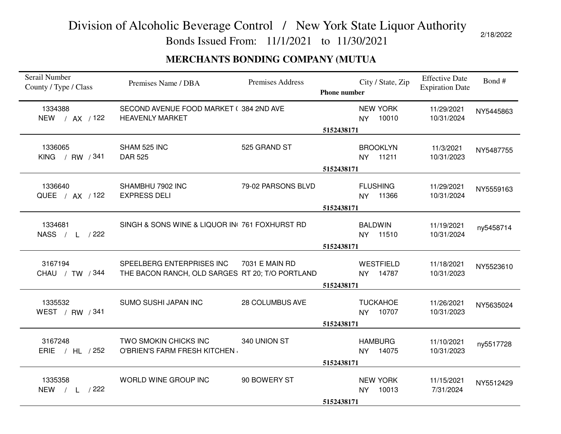Bonds Issued From: 11/1/2021 to 11/30/2021

2/18/2022

#### **MERCHANTS BONDING COMPANY (MUTUA**

| Serail Number<br>County / Type / Class | Premises Name / DBA                                                          | <b>Premises Address</b> | <b>Phone number</b> | City / State, Zip                     | <b>Effective Date</b><br><b>Expiration Date</b> | Bond#     |
|----------------------------------------|------------------------------------------------------------------------------|-------------------------|---------------------|---------------------------------------|-------------------------------------------------|-----------|
| 1334388<br>NEW / AX / 122              | SECOND AVENUE FOOD MARKET (384 2ND AVE<br><b>HEAVENLY MARKET</b>             |                         |                     | <b>NEW YORK</b><br>10010<br>NY.       | 11/29/2021<br>10/31/2024                        | NY5445863 |
|                                        |                                                                              |                         | 5152438171          |                                       |                                                 |           |
| 1336065<br>KING / RW / 341             | SHAM 525 INC<br><b>DAR 525</b>                                               | 525 GRAND ST            |                     | <b>BROOKLYN</b><br>11211<br><b>NY</b> | 11/3/2021<br>10/31/2023                         | NY5487755 |
|                                        |                                                                              |                         | 5152438171          |                                       |                                                 |           |
| 1336640<br>QUEE / AX / 122             | SHAMBHU 7902 INC<br><b>EXPRESS DELI</b>                                      | 79-02 PARSONS BLVD      |                     | <b>FLUSHING</b><br>NY 11366           | 11/29/2021<br>10/31/2024                        | NY5559163 |
|                                        |                                                                              |                         | 5152438171          |                                       |                                                 |           |
| 1334681<br>NASS / L /222               | SINGH & SONS WINE & LIQUOR IN(761 FOXHURST RD)                               |                         |                     | <b>BALDWIN</b><br>NY 11510            | 11/19/2021<br>10/31/2024                        | ny5458714 |
|                                        |                                                                              |                         | 5152438171          |                                       |                                                 |           |
| 3167194<br>CHAU / TW / 344             | SPEELBERG ENTERPRISES INC<br>THE BACON RANCH, OLD SARGES RT 20; T/O PORTLAND | 7031 E MAIN RD          | 5152438171          | <b>WESTFIELD</b><br>NY 14787          | 11/18/2021<br>10/31/2023                        | NY5523610 |
| 1335532<br>WEST / RW / 341             | SUMO SUSHI JAPAN INC                                                         | 28 COLUMBUS AVE         |                     | <b>TUCKAHOE</b><br>NY 10707           | 11/26/2021<br>10/31/2023                        | NY5635024 |
|                                        |                                                                              |                         | 5152438171          |                                       |                                                 |           |
| 3167248<br>ERIE / HL / 252             | TWO SMOKIN CHICKS INC<br>O'BRIEN'S FARM FRESH KITCHEN                        | 340 UNION ST            |                     | <b>HAMBURG</b><br>NY 14075            | 11/10/2021<br>10/31/2023                        | ny5517728 |
|                                        |                                                                              |                         | 5152438171          |                                       |                                                 |           |
| 1335358<br><b>NEW</b><br>$/$ L $/$ 222 | WORLD WINE GROUP INC                                                         | 90 BOWERY ST            |                     | <b>NEW YORK</b><br>10013<br><b>NY</b> | 11/15/2021<br>7/31/2024                         | NY5512429 |
|                                        |                                                                              |                         | 5152438171          |                                       |                                                 |           |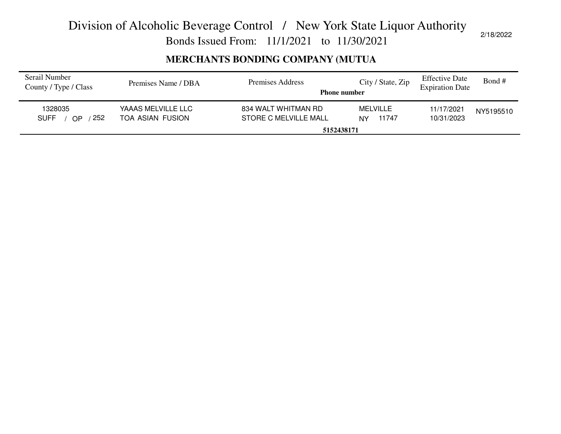Bonds Issued From: 11/1/2021 to 11/30/2021

#### **MERCHANTS BONDING COMPANY (MUTUA**

| Serail Number<br>County / Type / Class       | Premises Name / DBA                    | Premises Address<br><b>Phone number</b>      | City / State, Zip       | <b>Effective Date</b><br><b>Expiration Date</b> | Bond #    |
|----------------------------------------------|----------------------------------------|----------------------------------------------|-------------------------|-------------------------------------------------|-----------|
| 1328035<br>252<br><b>SUFF</b><br>$\bigcap P$ | YAAAS MELVILLE LLC<br>TOA ASIAN FUSION | 834 WALT WHITMAN RD<br>STORE C MELVILLE MALL | MELVILLE<br>11747<br>NY | 11/17/2021<br>10/31/2023                        | NY5195510 |
|                                              |                                        | 5152438171                                   |                         |                                                 |           |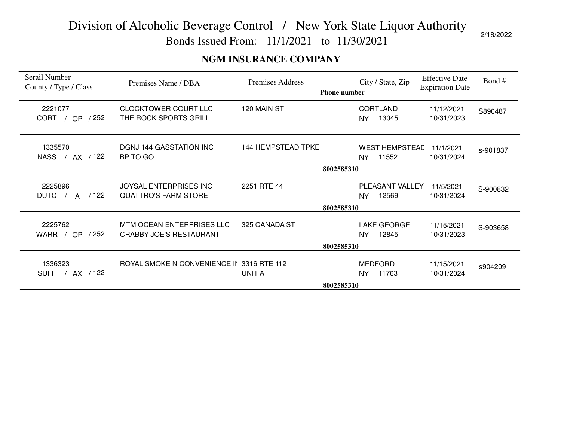Bonds Issued From: 11/1/2021 to 11/30/2021

#### **NGM INSURANCE COMPANY**

| Serail Number<br>County / Type / Class | Premises Name / DBA                                         | <b>Premises Address</b>   | <b>Phone number</b> | City / State, Zip                     | <b>Effective Date</b><br><b>Expiration Date</b> | Bond #   |
|----------------------------------------|-------------------------------------------------------------|---------------------------|---------------------|---------------------------------------|-------------------------------------------------|----------|
| 2221077<br>CORT / OP<br>/ 252          | <b>CLOCKTOWER COURT LLC</b><br>THE ROCK SPORTS GRILL        | 120 MAIN ST               |                     | <b>CORTLAND</b><br>13045<br>NY        | 11/12/2021<br>10/31/2023                        | S890487  |
| 1335570<br>/ AX / 122<br><b>NASS</b>   | <b>DGNJ 144 GASSTATION INC</b><br>BP TO GO                  | <b>144 HEMPSTEAD TPKE</b> | 8002585310          | <b>WEST HEMPSTEAD</b><br>11552<br>NY  | 11/1/2021<br>10/31/2024                         | s-901837 |
| 2225896<br>/122<br><b>DUTC</b><br>A    | JOYSAL ENTERPRISES INC<br><b>QUATTRO'S FARM STORE</b>       | 2251 RTE 44               | 8002585310          | PLEASANT VALLEY<br>12569<br><b>NY</b> | 11/5/2021<br>10/31/2024                         | S-900832 |
| 2225762<br>/252<br>WARR / OP           | MTM OCEAN ENTERPRISES LLC<br><b>CRABBY JOE'S RESTAURANT</b> | 325 CANADA ST             | 8002585310          | <b>LAKE GEORGE</b><br>12845<br>NY     | 11/15/2021<br>10/31/2023                        | S-903658 |
| 1336323<br>SUFF / AX / 122             | ROYAL SMOKE N CONVENIENCE IN 3316 RTE 112                   | <b>UNIT A</b>             | 8002585310          | <b>MEDFORD</b><br>11763<br><b>NY</b>  | 11/15/2021<br>10/31/2024                        | s904209  |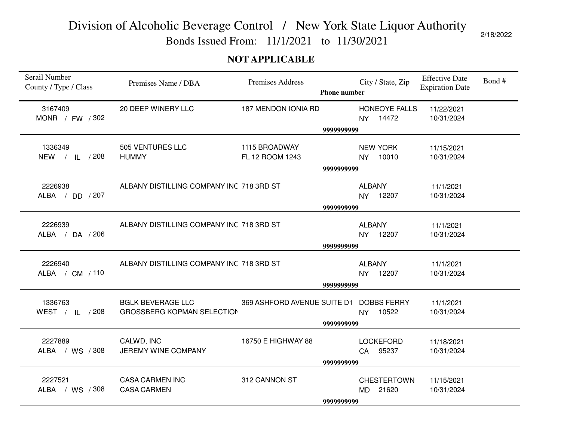Bonds Issued From: 11/1/2021 to 11/30/2021

#### **NOT APPLICABLE**

| Serail Number<br>County / Type / Class | Premises Name / DBA                                           | Premises Address                 | <b>Phone number</b> |               | City / State, Zip              | <b>Effective Date</b><br><b>Expiration Date</b> | Bond# |
|----------------------------------------|---------------------------------------------------------------|----------------------------------|---------------------|---------------|--------------------------------|-------------------------------------------------|-------|
| 3167409<br>MONR / FW / 302             | 20 DEEP WINERY LLC                                            | 187 MENDON IONIA RD              |                     |               | HONEOYE FALLS<br>NY 14472      | 11/22/2021<br>10/31/2024                        |       |
|                                        |                                                               |                                  | 9999999999          |               |                                |                                                 |       |
| 1336349<br>NEW / IL / 208              | 505 VENTURES LLC<br><b>HUMMY</b>                              | 1115 BROADWAY<br>FL 12 ROOM 1243 |                     | <b>NY</b>     | <b>NEW YORK</b><br>10010       | 11/15/2021<br>10/31/2024                        |       |
|                                        |                                                               |                                  | 9999999999          |               |                                |                                                 |       |
| 2226938<br>ALBA / DD / 207             | ALBANY DISTILLING COMPANY INC 718 3RD ST                      |                                  |                     | <b>ALBANY</b> | NY 12207                       | 11/1/2021<br>10/31/2024                         |       |
|                                        |                                                               |                                  | 9999999999          |               |                                |                                                 |       |
| 2226939<br>ALBA / DA / 206             | ALBANY DISTILLING COMPANY INC 718 3RD ST                      |                                  |                     | <b>ALBANY</b> | NY 12207                       | 11/1/2021<br>10/31/2024                         |       |
|                                        |                                                               |                                  | 9999999999          |               |                                |                                                 |       |
| 2226940<br>ALBA / CM / 110             | ALBANY DISTILLING COMPANY INC 718 3RD ST                      |                                  | 9999999999          | <b>ALBANY</b> | NY 12207                       | 11/1/2021<br>10/31/2024                         |       |
|                                        |                                                               |                                  |                     |               |                                |                                                 |       |
| 1336763<br>WEST / IL / 208             | <b>BGLK BEVERAGE LLC</b><br><b>GROSSBERG KOPMAN SELECTION</b> | 369 ASHFORD AVENUE SUITE D1      |                     | <b>NY</b>     | <b>DOBBS FERRY</b><br>10522    | 11/1/2021<br>10/31/2024                         |       |
|                                        |                                                               |                                  | 9999999999          |               |                                |                                                 |       |
| 2227889<br>ALBA / WS / 308             | CALWD, INC<br>JEREMY WINE COMPANY                             | 16750 E HIGHWAY 88               |                     |               | <b>LOCKEFORD</b><br>CA 95237   | 11/18/2021<br>10/31/2024                        |       |
|                                        |                                                               |                                  | 9999999999          |               |                                |                                                 |       |
| 2227521<br>ALBA / WS / 308             | <b>CASA CARMEN INC</b><br><b>CASA CARMEN</b>                  | 312 CANNON ST                    |                     |               | <b>CHESTERTOWN</b><br>MD 21620 | 11/15/2021<br>10/31/2024                        |       |
|                                        |                                                               |                                  | 9999999999          |               |                                |                                                 |       |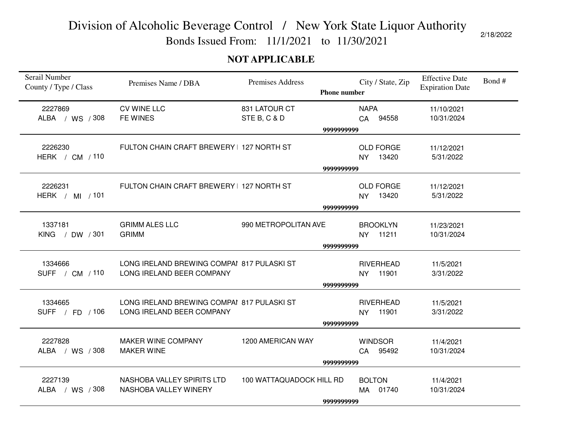Bonds Issued From: 11/1/2021 to 11/30/2021

#### **NOT APPLICABLE**

| Serail Number<br>County / Type / Class | Premises Name / DBA                                                     | <b>Premises Address</b>  | <b>Phone number</b> |                | City / State, Zip         | <b>Effective Date</b><br><b>Expiration Date</b> | Bond# |  |  |
|----------------------------------------|-------------------------------------------------------------------------|--------------------------|---------------------|----------------|---------------------------|-------------------------------------------------|-------|--|--|
| 2227869                                | <b>CV WINE LLC</b>                                                      | 831 LATOUR CT            |                     | <b>NAPA</b>    |                           | 11/10/2021                                      |       |  |  |
| ALBA / WS / 308                        | FE WINES                                                                | STE B, C & D             |                     |                | CA 94558                  | 10/31/2024                                      |       |  |  |
|                                        |                                                                         |                          | 9999999999          |                |                           |                                                 |       |  |  |
| 2226230                                | FULTON CHAIN CRAFT BREWERY   127 NORTH ST                               |                          |                     |                | <b>OLD FORGE</b>          | 11/12/2021                                      |       |  |  |
| HERK / CM / 110                        |                                                                         |                          |                     | <b>NY</b>      | 13420                     | 5/31/2022                                       |       |  |  |
|                                        |                                                                         |                          | 9999999999          |                |                           |                                                 |       |  |  |
|                                        |                                                                         |                          |                     |                |                           |                                                 |       |  |  |
| 2226231                                | FULTON CHAIN CRAFT BREWERY   127 NORTH ST                               |                          |                     |                | <b>OLD FORGE</b>          | 11/12/2021                                      |       |  |  |
| HERK / MI $/101$                       |                                                                         |                          |                     | NY.            | 13420                     | 5/31/2022                                       |       |  |  |
|                                        |                                                                         | 9999999999               |                     |                |                           |                                                 |       |  |  |
|                                        |                                                                         |                          |                     |                |                           |                                                 |       |  |  |
| 1337181<br>KING / DW / 301             | <b>GRIMM ALES LLC</b><br><b>GRIMM</b>                                   | 990 METROPOLITAN AVE     |                     | <b>NY</b>      | <b>BROOKLYN</b><br>11211  | 11/23/2021<br>10/31/2024                        |       |  |  |
|                                        |                                                                         |                          |                     |                |                           |                                                 |       |  |  |
|                                        |                                                                         |                          | 9999999999          |                |                           |                                                 |       |  |  |
| 1334666                                | LONG IRELAND BREWING COMPAI 817 PULASKI ST                              |                          |                     |                | <b>RIVERHEAD</b>          | 11/5/2021                                       |       |  |  |
| SUFF / CM / 110                        | LONG IRELAND BEER COMPANY                                               |                          |                     | <b>NY</b>      | 11901                     | 3/31/2022                                       |       |  |  |
|                                        |                                                                         |                          | 9999999999          |                |                           |                                                 |       |  |  |
|                                        |                                                                         |                          |                     |                |                           |                                                 |       |  |  |
| 1334665<br>SUFF / FD / 106             | LONG IRELAND BREWING COMPAI 817 PULASKI ST<br>LONG IRELAND BEER COMPANY |                          |                     | <b>NY</b>      | <b>RIVERHEAD</b><br>11901 | 11/5/2021<br>3/31/2022                          |       |  |  |
|                                        |                                                                         |                          |                     |                |                           |                                                 |       |  |  |
|                                        |                                                                         |                          | 9999999999          |                |                           |                                                 |       |  |  |
| 2227828                                | MAKER WINE COMPANY                                                      | 1200 AMERICAN WAY        |                     | <b>WINDSOR</b> |                           | 11/4/2021                                       |       |  |  |
| ALBA / WS / 308                        | <b>MAKER WINE</b>                                                       |                          |                     |                | CA 95492                  | 10/31/2024                                      |       |  |  |
|                                        |                                                                         |                          | 9999999999          |                |                           |                                                 |       |  |  |
|                                        |                                                                         |                          |                     |                |                           |                                                 |       |  |  |
| 2227139                                | NASHOBA VALLEY SPIRITS LTD                                              | 100 WATTAQUADOCK HILL RD |                     | <b>BOLTON</b>  |                           | 11/4/2021                                       |       |  |  |
| ALBA / WS / 308                        | NASHOBA VALLEY WINERY                                                   |                          |                     |                | MA 01740                  | 10/31/2024                                      |       |  |  |
|                                        |                                                                         |                          | 9999999999          |                |                           |                                                 |       |  |  |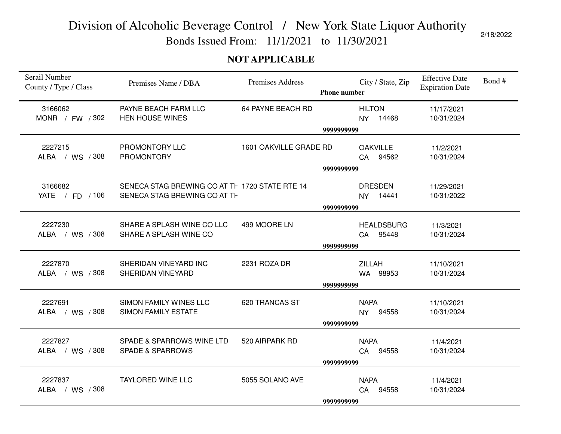Bonds Issued From: 11/1/2021 to 11/30/2021

#### **NOT APPLICABLE**

| Serail Number<br>County / Type / Class | Premises Name / DBA                                                            | <b>Premises Address</b> | <b>Phone number</b> | City / State, Zip                   | <b>Effective Date</b><br><b>Expiration Date</b> | Bond# |
|----------------------------------------|--------------------------------------------------------------------------------|-------------------------|---------------------|-------------------------------------|-------------------------------------------------|-------|
| 3166062<br>MONR / FW / 302             | PAYNE BEACH FARM LLC<br><b>HEN HOUSE WINES</b>                                 | 64 PAYNE BEACH RD       |                     | <b>HILTON</b><br>14468<br><b>NY</b> | 11/17/2021<br>10/31/2024                        |       |
|                                        |                                                                                |                         | 9999999999          |                                     |                                                 |       |
| 2227215<br>ALBA / WS / 308             | PROMONTORY LLC<br><b>PROMONTORY</b>                                            | 1601 OAKVILLE GRADE RD  |                     | <b>OAKVILLE</b><br>94562<br>CA      | 11/2/2021<br>10/31/2024                         |       |
|                                        |                                                                                |                         | 9999999999          |                                     |                                                 |       |
| 3166682<br>YATE / FD / 106             | SENECA STAG BREWING CO AT TH 1720 STATE RTE 14<br>SENECA STAG BREWING CO AT TH |                         | 9999999999          | <b>DRESDEN</b><br>NY 14441          | 11/29/2021<br>10/31/2022                        |       |
| 2227230<br>ALBA / WS / 308             | SHARE A SPLASH WINE CO LLC<br>SHARE A SPLASH WINE CO                           | 499 MOORE LN            |                     | <b>HEALDSBURG</b><br>95448<br>CA    | 11/3/2021<br>10/31/2024                         |       |
|                                        |                                                                                |                         | 9999999999          |                                     |                                                 |       |
| 2227870<br>ALBA / WS / 308             | SHERIDAN VINEYARD INC<br>SHERIDAN VINEYARD                                     | 2231 ROZA DR            | 9999999999          | <b>ZILLAH</b><br>WA 98953           | 11/10/2021<br>10/31/2024                        |       |
| 2227691<br>ALBA / WS / 308             | <b>SIMON FAMILY WINES LLC</b><br><b>SIMON FAMILY ESTATE</b>                    | 620 TRANCAS ST          | 9999999999          | <b>NAPA</b><br>94558<br><b>NY</b>   | 11/10/2021<br>10/31/2024                        |       |
| 2227827<br>ALBA / WS / 308             | SPADE & SPARROWS WINE LTD<br><b>SPADE &amp; SPARROWS</b>                       | 520 AIRPARK RD          | 9999999999          | <b>NAPA</b><br>94558<br>CA          | 11/4/2021<br>10/31/2024                         |       |
| 2227837<br>ALBA / WS / 308             | <b>TAYLORED WINE LLC</b>                                                       | 5055 SOLANO AVE         | 9999999999          | <b>NAPA</b><br>CA 94558             | 11/4/2021<br>10/31/2024                         |       |
|                                        |                                                                                |                         |                     |                                     |                                                 |       |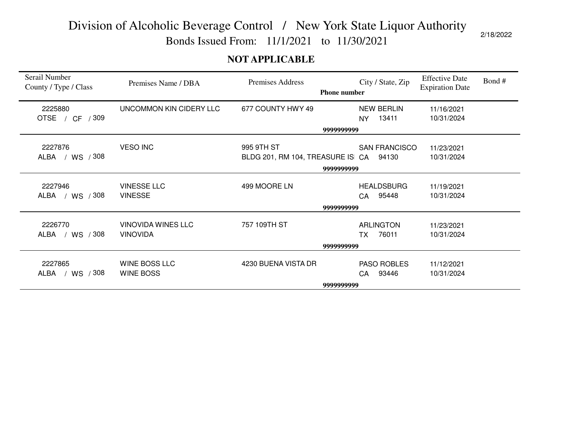Bonds Issued From: 11/1/2021 to 11/30/2021

#### **NOT APPLICABLE**

| Serail Number<br>County / Type / Class | Premises Name / DBA     | <b>Premises Address</b><br><b>Phone number</b> | City / State, Zip    | <b>Effective Date</b><br><b>Expiration Date</b> | Bond# |
|----------------------------------------|-------------------------|------------------------------------------------|----------------------|-------------------------------------------------|-------|
| 2225880                                | UNCOMMON KIN CIDERY LLC | 677 COUNTY HWY 49                              | <b>NEW BERLIN</b>    | 11/16/2021                                      |       |
| OTSE / CF / 309                        |                         |                                                | 13411<br>NY.         | 10/31/2024                                      |       |
|                                        |                         | 9999999999                                     |                      |                                                 |       |
| 2227876                                | <b>VESO INC</b>         | 995 9TH ST                                     | <b>SAN FRANCISCO</b> | 11/23/2021                                      |       |
| ALBA / WS / 308                        |                         | BLDG 201, RM 104, TREASURE IS CA               | 94130                | 10/31/2024                                      |       |
|                                        |                         | 9999999999                                     |                      |                                                 |       |
|                                        |                         |                                                |                      |                                                 |       |
| 2227946                                | <b>VINESSE LLC</b>      | 499 MOORE LN                                   | <b>HEALDSBURG</b>    | 11/19/2021                                      |       |
| / WS / 308<br>ALBA                     | <b>VINESSE</b>          |                                                | CA 95448             | 10/31/2024                                      |       |
|                                        |                         | 9999999999                                     |                      |                                                 |       |
| 2226770                                | VINOVIDA WINES LLC      | 757 109TH ST                                   | <b>ARLINGTON</b>     | 11/23/2021                                      |       |
| ALBA / WS / 308                        | <b>VINOVIDA</b>         |                                                | 76011<br><b>TX</b>   | 10/31/2024                                      |       |
|                                        |                         | 9999999999                                     |                      |                                                 |       |
|                                        |                         |                                                |                      |                                                 |       |
| 2227865                                | WINE BOSS LLC           | 4230 BUENA VISTA DR                            | PASO ROBLES          | 11/12/2021                                      |       |
| ALBA<br>/ WS / 308                     | <b>WINE BOSS</b>        |                                                | 93446<br>CA          | 10/31/2024                                      |       |
|                                        |                         | 9999999999                                     |                      |                                                 |       |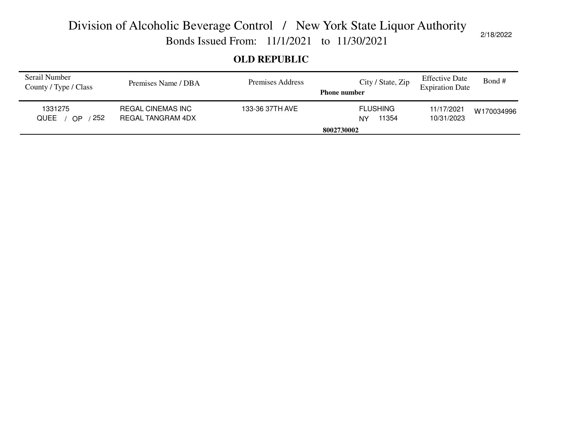Bonds Issued From: 11/1/2021 to 11/30/2021

#### **OLD REPUBLIC**

| Serail Number<br>County / Type / Class     | Premises Name / DBA                           | Premises Address | City / State, Zip<br><b>Phone number</b> | <b>Effective Date</b><br><b>Expiration Date</b> | Bond #     |
|--------------------------------------------|-----------------------------------------------|------------------|------------------------------------------|-------------------------------------------------|------------|
| 1331275<br>252<br><b>QUEE</b><br><b>OP</b> | <b>REGAL CINEMAS INC</b><br>REGAL TANGRAM 4DX | 133-36 37TH AVE  | <b>FLUSHING</b><br>11354<br>NY           | 11/17/2021<br>10/31/2023                        | W170034996 |
|                                            |                                               |                  | 8002730002                               |                                                 |            |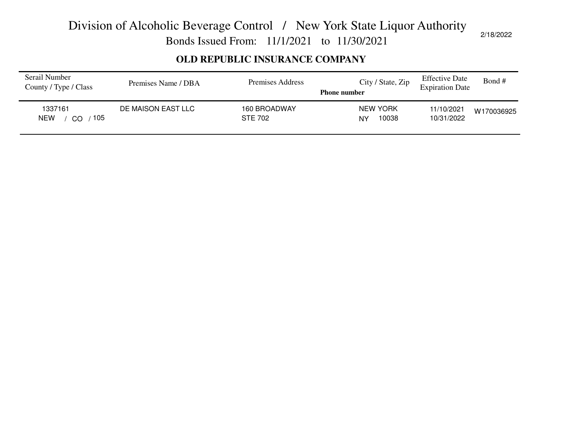Bonds Issued From: 11/1/2021 to 11/30/2021

#### **OLD REPUBLIC INSURANCE COMPANY**

| Serail Number<br>County / Type / Class | Premises Name / DBA | Premises Address               | City / State, Zip<br><b>Phone number</b> | <b>Effective Date</b><br><b>Expiration Date</b> | Bond#      |
|----------------------------------------|---------------------|--------------------------------|------------------------------------------|-------------------------------------------------|------------|
| 1337161<br>105<br><b>NEW</b><br>CO     | DE MAISON EAST LLC  | 160 BROADWAY<br><b>STE 702</b> | <b>NEW YORK</b><br>10038<br>NY           | 11/10/2021<br>10/31/2022                        | W170036925 |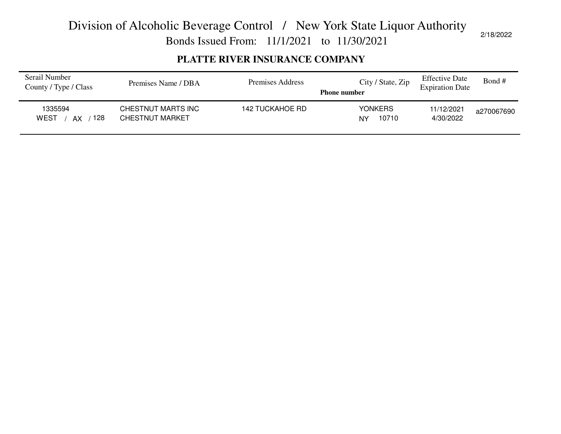Bonds Issued From: 11/1/2021 to 11/30/2021

#### **PLATTE RIVER INSURANCE COMPANY**

| Serail Number<br>County / Type / Class | Premises Name / DBA                          | Premises Address | City / State, Zip<br><b>Phone number</b> | <b>Effective Date</b><br><b>Expiration Date</b> | Bond#      |
|----------------------------------------|----------------------------------------------|------------------|------------------------------------------|-------------------------------------------------|------------|
| 1335594<br>128<br>WEST<br>AX           | CHESTNUT MARTS INC<br><b>CHESTNUT MARKET</b> | 142 TUCKAHOE RD  | <b>YONKERS</b><br>10710<br>NY            | 11/12/2021<br>4/30/2022                         | a270067690 |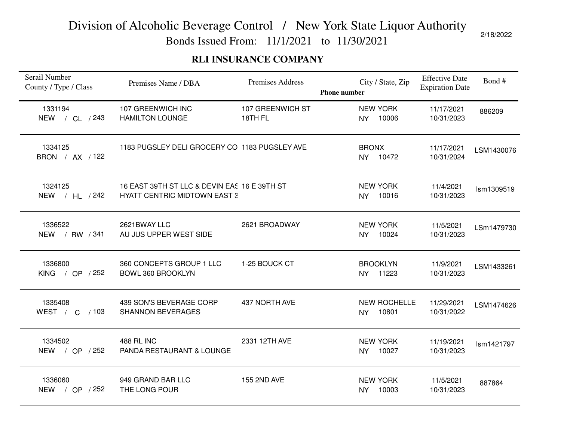Bonds Issued From: 11/1/2021 to 11/30/2021

#### **RLI INSURANCE COMPANY**

| Serail Number<br>County / Type / Class | Premises Name / DBA                                                                 | Premises Address            | <b>Phone number</b> |              | City / State, Zip            | <b>Effective Date</b><br><b>Expiration Date</b> | Bond#      |
|----------------------------------------|-------------------------------------------------------------------------------------|-----------------------------|---------------------|--------------|------------------------------|-------------------------------------------------|------------|
| 1331194<br>NEW / CL / 243              | 107 GREENWICH INC<br><b>HAMILTON LOUNGE</b>                                         | 107 GREENWICH ST<br>18TH FL |                     | <b>NY</b>    | <b>NEW YORK</b><br>10006     | 11/17/2021<br>10/31/2023                        | 886209     |
| 1334125<br>BRON / AX / 122             | 1183 PUGSLEY DELI GROCERY CO 1183 PUGSLEY AVE                                       |                             |                     | <b>BRONX</b> | NY 10472                     | 11/17/2021<br>10/31/2024                        | LSM1430076 |
| 1324125<br>/ $HL$ / 242<br><b>NEW</b>  | 16 EAST 39TH ST LLC & DEVIN EAS 16 E 39TH ST<br><b>HYATT CENTRIC MIDTOWN EAST 3</b> |                             |                     | <b>NY</b>    | <b>NEW YORK</b><br>10016     | 11/4/2021<br>10/31/2023                         | Ism1309519 |
| 1336522<br>NEW / RW / 341              | 2621BWAY LLC<br>AU JUS UPPER WEST SIDE                                              | 2621 BROADWAY               |                     | NY           | <b>NEW YORK</b><br>10024     | 11/5/2021<br>10/31/2023                         | LSm1479730 |
| 1336800<br><b>KING</b><br>/ OP $/252$  | 360 CONCEPTS GROUP 1 LLC<br>BOWL 360 BROOKLYN                                       | 1-25 BOUCK CT               |                     | <b>NY</b>    | <b>BROOKLYN</b><br>11223     | 11/9/2021<br>10/31/2023                         | LSM1433261 |
| 1335408<br>WEST / C / 103              | 439 SON'S BEVERAGE CORP<br><b>SHANNON BEVERAGES</b>                                 | 437 NORTH AVE               |                     | <b>NY</b>    | <b>NEW ROCHELLE</b><br>10801 | 11/29/2021<br>10/31/2022                        | LSM1474626 |
| 1334502<br>NEW / OP / 252              | <b>488 RL INC</b><br>PANDA RESTAURANT & LOUNGE                                      | 2331 12TH AVE               |                     | <b>NY</b>    | <b>NEW YORK</b><br>10027     | 11/19/2021<br>10/31/2023                        | Ism1421797 |
| 1336060<br>/ OP $/252$<br><b>NEW</b>   | 949 GRAND BAR LLC<br>THE LONG POUR                                                  | 155 2ND AVE                 |                     | <b>NY</b>    | <b>NEW YORK</b><br>10003     | 11/5/2021<br>10/31/2023                         | 887864     |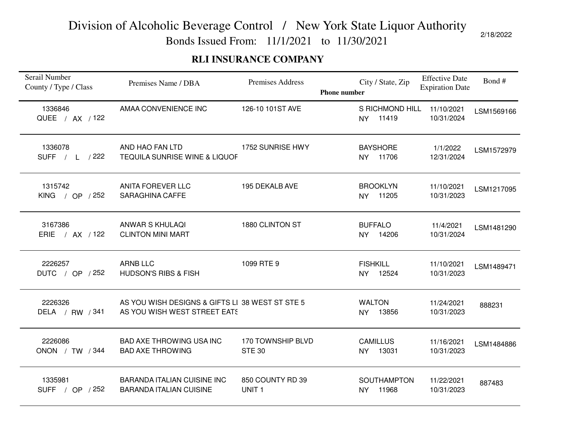Bonds Issued From: 11/1/2021 to 11/30/2021

#### **RLI INSURANCE COMPANY**

| Serail Number<br>County / Type / Class | Premises Name / DBA                                                             | <b>Premises Address</b>               | <b>Phone number</b> |                        | City / State, Zip           | <b>Effective Date</b><br><b>Expiration Date</b> | Bond#      |
|----------------------------------------|---------------------------------------------------------------------------------|---------------------------------------|---------------------|------------------------|-----------------------------|-------------------------------------------------|------------|
| 1336846<br>QUEE / AX / 122             | AMAA CONVENIENCE INC                                                            | 126-10 101ST AVE                      |                     | <b>NY</b>              | S RICHMOND HILL<br>11419    | 11/10/2021<br>10/31/2024                        | LSM1569166 |
| 1336078<br>SUFF / L /222               | AND HAO FAN LTD<br><b>TEQUILA SUNRISE WINE &amp; LIQUOF</b>                     | 1752 SUNRISE HWY                      |                     |                        | <b>BAYSHORE</b><br>NY 11706 | 1/1/2022<br>12/31/2024                          | LSM1572979 |
| 1315742<br>/ OP / 252<br><b>KING</b>   | <b>ANITA FOREVER LLC</b><br><b>SARAGHINA CAFFE</b>                              | 195 DEKALB AVE                        |                     | NY.                    | <b>BROOKLYN</b><br>11205    | 11/10/2021<br>10/31/2023                        | LSM1217095 |
| 3167386<br>ERIE / AX / 122             | <b>ANWAR S KHULAQI</b><br><b>CLINTON MINI MART</b>                              | 1880 CLINTON ST                       |                     |                        | <b>BUFFALO</b><br>NY 14206  | 11/4/2021<br>10/31/2024                         | LSM1481290 |
| 2226257<br>DUTC / OP / 252             | <b>ARNB LLC</b><br><b>HUDSON'S RIBS &amp; FISH</b>                              | 1099 RTE 9                            |                     | <b>FISHKILL</b><br>NY. | 12524                       | 11/10/2021<br>10/31/2023                        | LSM1489471 |
| 2226326<br>DELA / RW / 341             | AS YOU WISH DESIGNS & GIFTS LI 38 WEST ST STE 5<br>AS YOU WISH WEST STREET EATS |                                       |                     | <b>WALTON</b>          | NY 13856                    | 11/24/2021<br>10/31/2023                        | 888231     |
| 2226086<br>ONON / TW / 344             | <b>BAD AXE THROWING USA INC</b><br><b>BAD AXE THROWING</b>                      | 170 TOWNSHIP BLVD<br><b>STE 30</b>    |                     | NY                     | <b>CAMILLUS</b><br>13031    | 11/16/2021<br>10/31/2023                        | LSM1484886 |
| 1335981<br>SUFF / OP / 252             | <b>BARANDA ITALIAN CUISINE INC</b><br><b>BARANDA ITALIAN CUISINE</b>            | 850 COUNTY RD 39<br>UNIT <sub>1</sub> |                     | NY                     | <b>SOUTHAMPTON</b><br>11968 | 11/22/2021<br>10/31/2023                        | 887483     |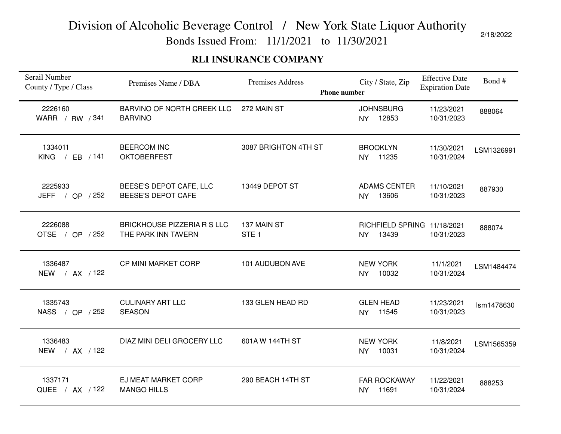Bonds Issued From: 11/1/2021 to 11/30/2021

#### **RLI INSURANCE COMPANY**

| Serail Number<br>County / Type / Class | Premises Name / DBA                                       | Premises Address<br><b>Phone number</b> | City / State, Zip                         | <b>Effective Date</b><br><b>Expiration Date</b> | Bond#      |
|----------------------------------------|-----------------------------------------------------------|-----------------------------------------|-------------------------------------------|-------------------------------------------------|------------|
| 2226160<br>WARR / RW / 341             | <b>BARVINO OF NORTH CREEK LLC</b><br><b>BARVINO</b>       | 272 MAIN ST                             | <b>JOHNSBURG</b><br>12853<br><b>NY</b>    | 11/23/2021<br>10/31/2023                        | 888064     |
| 1334011<br>KING / EB $/141$            | <b>BEERCOM INC</b><br><b>OKTOBERFEST</b>                  | 3087 BRIGHTON 4TH ST                    | <b>BROOKLYN</b><br>NY 11235               | 11/30/2021<br>10/31/2024                        | LSM1326991 |
| 2225933<br>JEFF / OP / 252             | BEESE'S DEPOT CAFE, LLC<br><b>BEESE'S DEPOT CAFE</b>      | 13449 DEPOT ST                          | <b>ADAMS CENTER</b><br>13606<br><b>NY</b> | 11/10/2021<br>10/31/2023                        | 887930     |
| 2226088<br>OTSE / OP / 252             | <b>BRICKHOUSE PIZZERIA R S LLC</b><br>THE PARK INN TAVERN | 137 MAIN ST<br>STE <sub>1</sub>         | RICHFIELD SPRING 11/18/2021<br>NY 13439   | 10/31/2023                                      | 888074     |
| 1336487<br>NEW / AX / 122              | CP MINI MARKET CORP                                       | 101 AUDUBON AVE                         | <b>NEW YORK</b><br>10032<br><b>NY</b>     | 11/1/2021<br>10/31/2024                         | LSM1484474 |
| 1335743<br>NASS / OP / 252             | <b>CULINARY ART LLC</b><br><b>SEASON</b>                  | 133 GLEN HEAD RD                        | <b>GLEN HEAD</b><br>NY 11545              | 11/23/2021<br>10/31/2023                        | Ism1478630 |
| 1336483<br>NEW / AX / 122              | DIAZ MINI DELI GROCERY LLC                                | 601A W 144TH ST                         | <b>NEW YORK</b><br>10031<br>NY            | 11/8/2021<br>10/31/2024                         | LSM1565359 |
| 1337171<br>QUEE / AX / 122             | EJ MEAT MARKET CORP<br><b>MANGO HILLS</b>                 | 290 BEACH 14TH ST                       | <b>FAR ROCKAWAY</b><br>11691<br><b>NY</b> | 11/22/2021<br>10/31/2024                        | 888253     |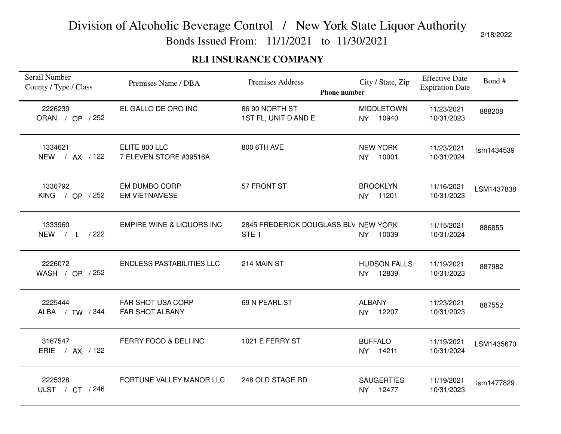Bonds Issued From: 11/1/2021 to 11/30/2021

#### **RLI INSURANCE COMPANY**

| Serail Number<br>County / Type / Class | Premises Name / DBA                                | Premises Address<br><b>Phone number</b>                  | City / State, Zip                         | <b>Effective Date</b><br><b>Expiration Date</b> | Bond#      |
|----------------------------------------|----------------------------------------------------|----------------------------------------------------------|-------------------------------------------|-------------------------------------------------|------------|
| 2226239<br>ORAN / OP / 252             | EL GALLO DE ORO INC                                | 86 90 NORTH ST<br>1ST FL, UNIT D AND E                   | <b>MIDDLETOWN</b><br>10940<br><b>NY</b>   | 11/23/2021<br>10/31/2023                        | 888208     |
| 1334621<br>NEW / AX / 122              | ELITE 800 LLC<br>7 ELEVEN STORE #39516A            | 800 6TH AVE                                              | <b>NEW YORK</b><br>NY 10001               | 11/23/2021<br>10/31/2024                        | Ism1434539 |
| 1336792<br>KING / OP $/252$            | <b>EM DUMBO CORP</b><br><b>EM VIETNAMESE</b>       | 57 FRONT ST                                              | <b>BROOKLYN</b><br>11201<br><b>NY</b>     | 11/16/2021<br>10/31/2023                        | LSM1437838 |
| 1333960<br>NEW / L /222                | <b>EMPIRE WINE &amp; LIQUORS INC</b>               | 2845 FREDERICK DOUGLASS BLV NEW YORK<br>STE <sub>1</sub> | 10039<br><b>NY</b>                        | 11/15/2021<br>10/31/2024                        | 886855     |
| 2226072<br>WASH / OP / 252             | <b>ENDLESS PASTABILITIES LLC</b>                   | 214 MAIN ST                                              | <b>HUDSON FALLS</b><br>12839<br><b>NY</b> | 11/19/2021<br>10/31/2023                        | 887982     |
| 2225444<br>ALBA / TW / 344             | <b>FAR SHOT USA CORP</b><br><b>FAR SHOT ALBANY</b> | 69 N PEARL ST                                            | <b>ALBANY</b><br>NY 12207                 | 11/23/2021<br>10/31/2023                        | 887552     |
| 3167547<br>ERIE / AX / 122             | FERRY FOOD & DELI INC                              | 1021 E FERRY ST                                          | <b>BUFFALO</b><br>NY 14211                | 11/19/2021<br>10/31/2024                        | LSM1435670 |
| 2225328<br>ULST / CT / 246             | FORTUNE VALLEY MANOR LLC                           | 248 OLD STAGE RD                                         | <b>SAUGERTIES</b><br>NY 12477             | 11/19/2021<br>10/31/2023                        | Ism1477829 |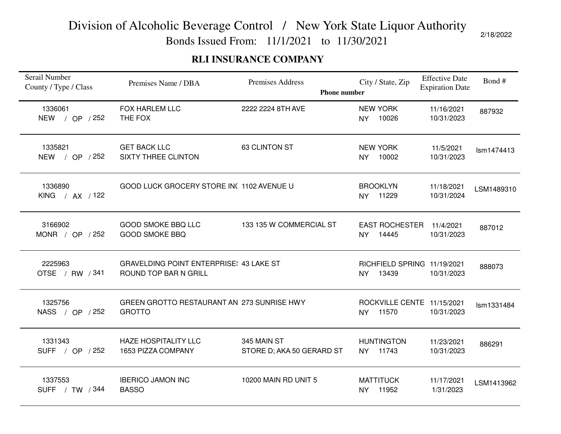Bonds Issued From: 11/1/2021 to 11/30/2021

#### **RLI INSURANCE COMPANY**

| Serail Number<br>County / Type / Class | Premises Name / DBA                                                     | Premises Address<br><b>Phone number</b>  | City / State, Zip                                 | <b>Effective Date</b><br><b>Expiration Date</b> | Bond#      |
|----------------------------------------|-------------------------------------------------------------------------|------------------------------------------|---------------------------------------------------|-------------------------------------------------|------------|
| 1336061<br><b>NEW</b><br>/ OP / 252    | <b>FOX HARLEM LLC</b><br>THE FOX                                        | 2222 2224 8TH AVE                        | <b>NEW YORK</b><br>10026<br><b>NY</b>             | 11/16/2021<br>10/31/2023                        | 887932     |
| 1335821<br>NEW / OP / 252              | <b>GET BACK LLC</b><br><b>SIXTY THREE CLINTON</b>                       | 63 CLINTON ST                            | <b>NEW YORK</b><br>NY 10002                       | 11/5/2021<br>10/31/2023                         | Ism1474413 |
| 1336890<br>KING / AX / 122             | GOOD LUCK GROCERY STORE IN( 1102 AVENUE U                               |                                          | <b>BROOKLYN</b><br>11229<br>NY I                  | 11/18/2021<br>10/31/2024                        | LSM1489310 |
| 3166902<br>MONR / OP $/252$            | <b>GOOD SMOKE BBQ LLC</b><br><b>GOOD SMOKE BBQ</b>                      | 133 135 W COMMERCIAL ST                  | <b>EAST ROCHESTER</b><br>14445<br><b>NY</b>       | 11/4/2021<br>10/31/2023                         | 887012     |
| 2225963<br>OTSE / RW / 341             | <b>GRAVELDING POINT ENTERPRISE: 43 LAKE ST</b><br>ROUND TOP BAR N GRILL |                                          | RICHFIELD SPRING 11/19/2021<br>13439<br><b>NY</b> | 10/31/2023                                      | 888073     |
| 1325756<br>NASS / OP / 252             | GREEN GROTTO RESTAURANT AN 273 SUNRISE HWY<br><b>GROTTO</b>             |                                          | ROCKVILLE CENTE 11/15/2021<br>NY 11570            | 10/31/2023                                      | Ism1331484 |
| 1331343<br>SUFF / OP / 252             | <b>HAZE HOSPITALITY LLC</b><br>1653 PIZZA COMPANY                       | 345 MAIN ST<br>STORE D; AKA 50 GERARD ST | <b>HUNTINGTON</b><br>NY 11743                     | 11/23/2021<br>10/31/2023                        | 886291     |
| 1337553<br>SUFF / TW / 344             | <b>IBERICO JAMON INC</b><br><b>BASSO</b>                                | 10200 MAIN RD UNIT 5                     | <b>MATTITUCK</b><br>11952<br><b>NY</b>            | 11/17/2021<br>1/31/2023                         | LSM1413962 |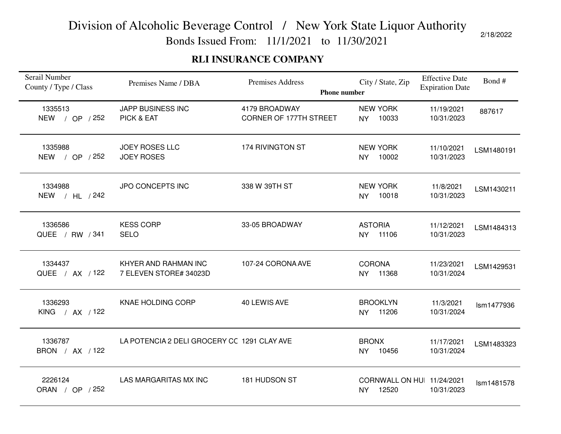Bonds Issued From: 11/1/2021 to 11/30/2021

#### **RLI INSURANCE COMPANY**

| Serail Number<br>County / Type / Class | Premises Name / DBA                            | Premises Address<br><b>Phone number</b> | City / State, Zip                                | <b>Effective Date</b><br><b>Expiration Date</b> | Bond#      |
|----------------------------------------|------------------------------------------------|-----------------------------------------|--------------------------------------------------|-------------------------------------------------|------------|
| 1335513<br><b>NEW</b><br>/ OP / 252    | <b>JAPP BUSINESS INC</b><br>PICK & EAT         | 4179 BROADWAY<br>CORNER OF 177TH STREET | <b>NEW YORK</b><br>10033<br><b>NY</b>            | 11/19/2021<br>10/31/2023                        | 887617     |
| 1335988<br>NEW / OP / 252              | <b>JOEY ROSES LLC</b><br><b>JOEY ROSES</b>     | 174 RIVINGTON ST                        | <b>NEW YORK</b><br>10002<br><b>NY</b>            | 11/10/2021<br>10/31/2023                        | LSM1480191 |
| 1334988<br><b>NEW</b><br>/ $HL$ / 242  | JPO CONCEPTS INC                               | 338 W 39TH ST                           | <b>NEW YORK</b><br>10018<br><b>NY</b>            | 11/8/2021<br>10/31/2023                         | LSM1430211 |
| 1336586<br>QUEE / RW / 341             | <b>KESS CORP</b><br><b>SELO</b>                | 33-05 BROADWAY                          | <b>ASTORIA</b><br>11106<br>NY                    | 11/12/2021<br>10/31/2023                        | LSM1484313 |
| 1334437<br>QUEE / AX / 122             | KHYER AND RAHMAN INC<br>7 ELEVEN STORE# 34023D | 107-24 CORONA AVE                       | <b>CORONA</b><br>11368<br><b>NY</b>              | 11/23/2021<br>10/31/2024                        | LSM1429531 |
| 1336293<br>KING / AX / 122             | KNAE HOLDING CORP                              | 40 LEWIS AVE                            | <b>BROOKLYN</b><br>11206<br><b>NY</b>            | 11/3/2021<br>10/31/2024                         | Ism1477936 |
| 1336787<br>BRON / AX / 122             | LA POTENCIA 2 DELI GROCERY CC 1291 CLAY AVE    |                                         | <b>BRONX</b><br>10456<br>NY                      | 11/17/2021<br>10/31/2024                        | LSM1483323 |
| 2226124<br>ORAN / OP / 252             | LAS MARGARITAS MX INC                          | 181 HUDSON ST                           | CORNWALL ON HUI 11/24/2021<br>12520<br><b>NY</b> | 10/31/2023                                      | Ism1481578 |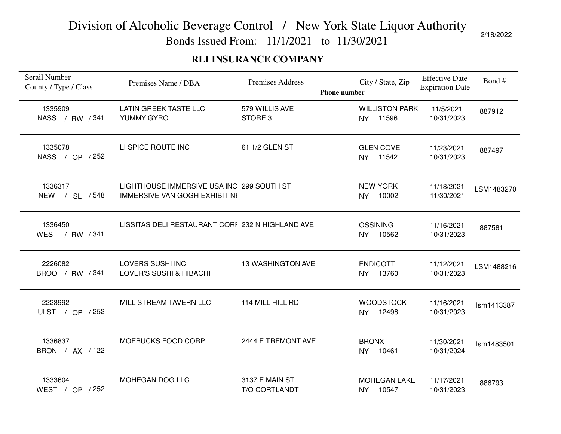Bonds Issued From: 11/1/2021 to 11/30/2021

#### **RLI INSURANCE COMPANY**

| Serail Number<br>County / Type / Class | Premises Name / DBA                                                               | <b>Premises Address</b>              | <b>Phone number</b> |                           | City / State, Zip               | <b>Effective Date</b><br><b>Expiration Date</b> | Bond#      |
|----------------------------------------|-----------------------------------------------------------------------------------|--------------------------------------|---------------------|---------------------------|---------------------------------|-------------------------------------------------|------------|
| 1335909<br>NASS / RW / 341             | <b>LATIN GREEK TASTE LLC</b><br>YUMMY GYRO                                        | 579 WILLIS AVE<br>STORE <sub>3</sub> |                     | <b>NY</b>                 | <b>WILLISTON PARK</b><br>11596  | 11/5/2021<br>10/31/2023                         | 887912     |
| 1335078<br>NASS / OP / 252             | LI SPICE ROUTE INC                                                                | 61 1/2 GLEN ST                       |                     |                           | <b>GLEN COVE</b><br>NY 11542    | 11/23/2021<br>10/31/2023                        | 887497     |
| 1336317<br>NEW / SL / 548              | LIGHTHOUSE IMMERSIVE USA INC 299 SOUTH ST<br><b>IMMERSIVE VAN GOGH EXHIBIT NE</b> |                                      |                     | NY                        | <b>NEW YORK</b><br>10002        | 11/18/2021<br>11/30/2021                        | LSM1483270 |
| 1336450<br>WEST / RW / 341             | LISSITAS DELI RESTAURANT CORF 232 N HIGHLAND AVE                                  |                                      |                     |                           | <b>OSSINING</b><br>NY 10562     | 11/16/2021<br>10/31/2023                        | 887581     |
| 2226082<br>BROO / RW / 341             | LOVERS SUSHI INC<br><b>LOVER'S SUSHI &amp; HIBACHI</b>                            | <b>13 WASHINGTON AVE</b>             |                     | <b>NY</b>                 | <b>ENDICOTT</b><br>13760        | 11/12/2021<br>10/31/2023                        | LSM1488216 |
| 2223992<br>ULST / OP $/252$            | MILL STREAM TAVERN LLC                                                            | 114 MILL HILL RD                     |                     | <b>NY</b>                 | <b>WOODSTOCK</b><br>12498       | 11/16/2021<br>10/31/2023                        | Ism1413387 |
| 1336837<br>BRON / AX / 122             | MOEBUCKS FOOD CORP                                                                | 2444 E TREMONT AVE                   |                     | <b>BRONX</b><br><b>NY</b> | 10461                           | 11/30/2021<br>10/31/2024                        | Ism1483501 |
| 1333604<br>WEST / OP / 252             | MOHEGAN DOG LLC                                                                   | 3137 E MAIN ST<br>T/O CORTLANDT      |                     |                           | <b>MOHEGAN LAKE</b><br>NY 10547 | 11/17/2021<br>10/31/2023                        | 886793     |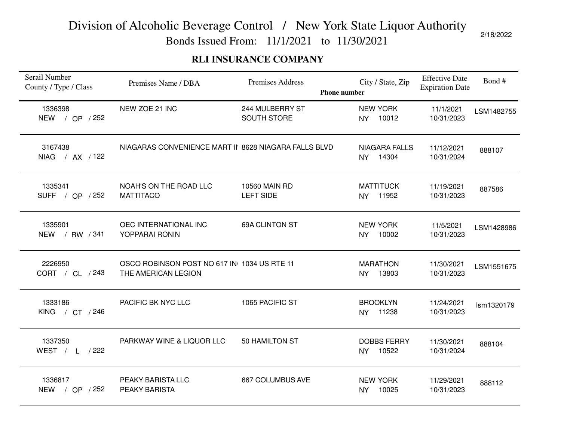Bonds Issued From: 11/1/2021 to 11/30/2021

#### **RLI INSURANCE COMPANY**

| Serail Number<br>County / Type / Class | Premises Name / DBA                                                | Premises Address                  | City / State, Zip<br><b>Phone number</b>   | <b>Effective Date</b><br><b>Expiration Date</b> | Bond#      |
|----------------------------------------|--------------------------------------------------------------------|-----------------------------------|--------------------------------------------|-------------------------------------------------|------------|
| 1336398<br><b>NEW</b><br>/ OP / 252    | NEW ZOE 21 INC                                                     | 244 MULBERRY ST<br>SOUTH STORE    | <b>NEW YORK</b><br>10012<br><b>NY</b>      | 11/1/2021<br>10/31/2023                         | LSM1482755 |
| 3167438<br>NIAG / AX / 122             | NIAGARAS CONVENIENCE MART II 8628 NIAGARA FALLS BLVD               |                                   | <b>NIAGARA FALLS</b><br>14304<br><b>NY</b> | 11/12/2021<br>10/31/2024                        | 888107     |
| 1335341<br>SUFF / OP / 252             | NOAH'S ON THE ROAD LLC<br><b>MATTITACO</b>                         | 10560 MAIN RD<br><b>LEFT SIDE</b> | <b>MATTITUCK</b><br>11952<br><b>NY</b>     | 11/19/2021<br>10/31/2023                        | 887586     |
| 1335901<br>NEW / RW / 341              | OEC INTERNATIONAL INC<br>YOPPARAI RONIN                            | 69A CLINTON ST                    | <b>NEW YORK</b><br>10002<br>NY             | 11/5/2021<br>10/31/2023                         | LSM1428986 |
| 2226950<br>CORT / CL / 243             | OSCO ROBINSON POST NO 617 IN 1034 US RTE 11<br>THE AMERICAN LEGION |                                   | <b>MARATHON</b><br>13803<br><b>NY</b>      | 11/30/2021<br>10/31/2023                        | LSM1551675 |
| 1333186<br>KING / CT / 246             | PACIFIC BK NYC LLC                                                 | 1065 PACIFIC ST                   | <b>BROOKLYN</b><br>11238<br><b>NY</b>      | 11/24/2021<br>10/31/2023                        | Ism1320179 |
| 1337350<br>WEST $/ L$ / 222            | PARKWAY WINE & LIQUOR LLC                                          | 50 HAMILTON ST                    | <b>DOBBS FERRY</b><br>10522<br><b>NY</b>   | 11/30/2021<br>10/31/2024                        | 888104     |
| 1336817<br>NEW / OP / 252              | PEAKY BARISTA LLC<br><b>PEAKY BARISTA</b>                          | 667 COLUMBUS AVE                  | <b>NEW YORK</b><br>10025<br><b>NY</b>      | 11/29/2021<br>10/31/2023                        | 888112     |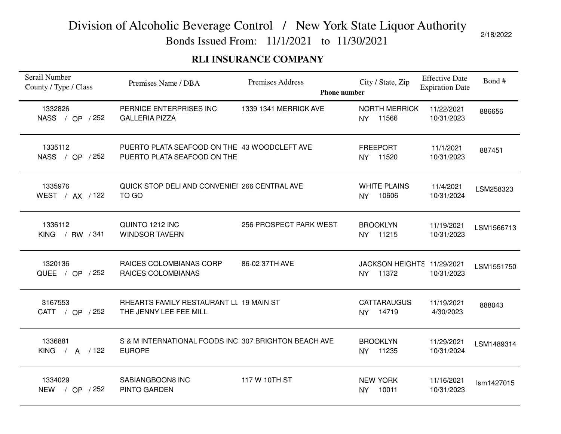Bonds Issued From: 11/1/2021 to 11/30/2021

#### **RLI INSURANCE COMPANY**

| Serail Number<br>County / Type / Class | Premises Name / DBA                                                         | Premises Address<br><b>Phone number</b> | City / State, Zip                                | <b>Effective Date</b><br><b>Expiration Date</b> | Bond#      |
|----------------------------------------|-----------------------------------------------------------------------------|-----------------------------------------|--------------------------------------------------|-------------------------------------------------|------------|
| 1332826<br>NASS / OP / 252             | PERNICE ENTERPRISES INC<br><b>GALLERIA PIZZA</b>                            | 1339 1341 MERRICK AVE                   | <b>NORTH MERRICK</b><br>11566<br><b>NY</b>       | 11/22/2021<br>10/31/2023                        | 886656     |
| 1335112<br>NASS / OP / 252             | PUERTO PLATA SEAFOOD ON THE 43 WOODCLEFT AVE<br>PUERTO PLATA SEAFOOD ON THE |                                         | <b>FREEPORT</b><br>NY 11520                      | 11/1/2021<br>10/31/2023                         | 887451     |
| 1335976<br>WEST / AX / 122             | QUICK STOP DELI AND CONVENIEI 266 CENTRAL AVE<br>TO GO                      |                                         | <b>WHITE PLAINS</b><br>10606<br><b>NY</b>        | 11/4/2021<br>10/31/2024                         | LSM258323  |
| 1336112<br>KING / RW / 341             | QUINTO 1212 INC<br><b>WINDSOR TAVERN</b>                                    | 256 PROSPECT PARK WEST                  | <b>BROOKLYN</b><br>NY 11215                      | 11/19/2021<br>10/31/2023                        | LSM1566713 |
| 1320136<br>QUEE / OP / 252             | RAICES COLOMBIANAS CORP<br><b>RAICES COLOMBIANAS</b>                        | 86-02 37TH AVE                          | JACKSON HEIGHTS 11/29/2021<br>11372<br><b>NY</b> | 10/31/2023                                      | LSM1551750 |
| 3167553<br>CATT / OP / 252             | RHEARTS FAMILY RESTAURANT LL 19 MAIN ST<br>THE JENNY LEE FEE MILL           |                                         | <b>CATTARAUGUS</b><br>14719<br><b>NY</b>         | 11/19/2021<br>4/30/2023                         | 888043     |
| 1336881<br>KING / A $/122$             | S & M INTERNATIONAL FOODS INC 307 BRIGHTON BEACH AVE<br><b>EUROPE</b>       |                                         | <b>BROOKLYN</b><br>11235<br><b>NY</b>            | 11/29/2021<br>10/31/2024                        | LSM1489314 |
| 1334029<br><b>NEW</b><br>/ OP $/252$   | SABIANGBOON8 INC<br>PINTO GARDEN                                            | 117 W 10TH ST                           | <b>NEW YORK</b><br>10011<br><b>NY</b>            | 11/16/2021<br>10/31/2023                        | Ism1427015 |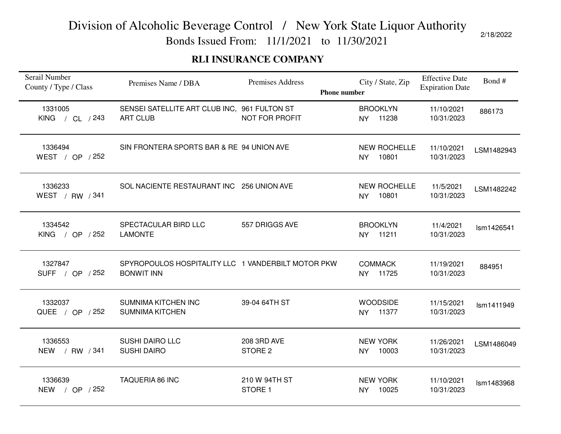Bonds Issued From: 11/1/2021 to 11/30/2021

#### **RLI INSURANCE COMPANY**

| Serail Number<br>County / Type / Class | Premises Name / DBA                                                     | Premises Address                  | City / State, Zip<br><b>Phone number</b>  | <b>Effective Date</b><br><b>Expiration Date</b> | Bond#      |
|----------------------------------------|-------------------------------------------------------------------------|-----------------------------------|-------------------------------------------|-------------------------------------------------|------------|
| 1331005<br>KING / CL / 243             | SENSEI SATELLITE ART CLUB INC, 961 FULTON ST<br><b>ART CLUB</b>         | NOT FOR PROFIT                    | <b>BROOKLYN</b><br>11238<br>NY.           | 11/10/2021<br>10/31/2023                        | 886173     |
| 1336494<br>WEST / OP / 252             | SIN FRONTERA SPORTS BAR & RE 94 UNION AVE                               |                                   | <b>NEW ROCHELLE</b><br>10801<br><b>NY</b> | 11/10/2021<br>10/31/2023                        | LSM1482943 |
| 1336233<br>WEST / RW / 341             | SOL NACIENTE RESTAURANT INC 256 UNION AVE                               |                                   | <b>NEW ROCHELLE</b><br>10801<br><b>NY</b> | 11/5/2021<br>10/31/2023                         | LSM1482242 |
| 1334542<br>KING / OP $/252$            | SPECTACULAR BIRD LLC<br><b>LAMONTE</b>                                  | 557 DRIGGS AVE                    | <b>BROOKLYN</b><br>NY 11211               | 11/4/2021<br>10/31/2023                         | Ism1426541 |
| 1327847<br>SUFF / OP / 252             | SPYROPOULOS HOSPITALITY LLC 1 VANDERBILT MOTOR PKW<br><b>BONWIT INN</b> |                                   | <b>COMMACK</b><br>11725<br><b>NY</b>      | 11/19/2021<br>10/31/2023                        | 884951     |
| 1332037<br>QUEE / OP / 252             | SUMNIMA KITCHEN INC<br><b>SUMNIMA KITCHEN</b>                           | 39-04 64TH ST                     | <b>WOODSIDE</b><br>NY 11377               | 11/15/2021<br>10/31/2023                        | Ism1411949 |
| 1336553<br>NEW / RW / 341              | <b>SUSHI DAIRO LLC</b><br><b>SUSHI DAIRO</b>                            | 208 3RD AVE<br>STORE <sub>2</sub> | <b>NEW YORK</b><br>10003<br><b>NY</b>     | 11/26/2021<br>10/31/2023                        | LSM1486049 |
| 1336639<br>/ OP / 252<br><b>NEW</b>    | <b>TAQUERIA 86 INC</b>                                                  | 210 W 94TH ST<br>STORE 1          | <b>NEW YORK</b><br>10025<br>NY            | 11/10/2021<br>10/31/2023                        | Ism1483968 |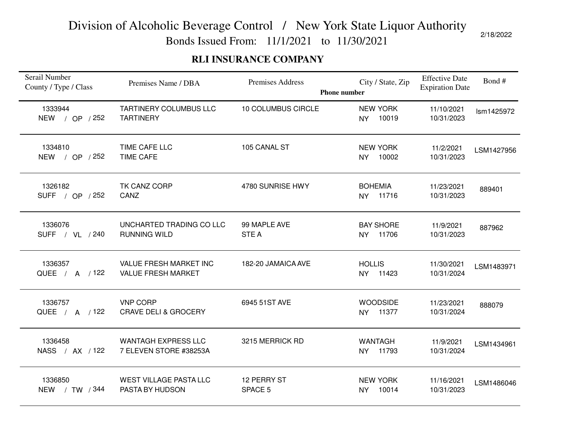Bonds Issued From: 11/1/2021 to 11/30/2021

#### **RLI INSURANCE COMPANY**

| Serail Number<br>County / Type / Class | Premises Name / DBA                                  | <b>Premises Address</b><br><b>Phone number</b> | City / State, Zip                      | <b>Effective Date</b><br><b>Expiration Date</b> | Bond#      |
|----------------------------------------|------------------------------------------------------|------------------------------------------------|----------------------------------------|-------------------------------------------------|------------|
| 1333944<br><b>NEW</b><br>/ OP / 252    | <b>TARTINERY COLUMBUS LLC</b><br><b>TARTINERY</b>    | 10 COLUMBUS CIRCLE                             | <b>NEW YORK</b><br>10019<br><b>NY</b>  | 11/10/2021<br>10/31/2023                        | Ism1425972 |
| 1334810<br>NEW / OP / 252              | TIME CAFE LLC<br><b>TIME CAFE</b>                    | 105 CANAL ST                                   | <b>NEW YORK</b><br>10002<br><b>NY</b>  | 11/2/2021<br>10/31/2023                         | LSM1427956 |
| 1326182<br>SUFF / OP / 252             | TK CANZ CORP<br>CANZ                                 | 4780 SUNRISE HWY                               | <b>BOHEMIA</b><br>11716<br><b>NY</b>   | 11/23/2021<br>10/31/2023                        | 889401     |
| 1336076<br>SUFF / VL / 240             | UNCHARTED TRADING CO LLC<br><b>RUNNING WILD</b>      | 99 MAPLE AVE<br><b>STEA</b>                    | <b>BAY SHORE</b><br>11706<br><b>NY</b> | 11/9/2021<br>10/31/2023                         | 887962     |
| 1336357<br>QUEE / A / 122              | VALUE FRESH MARKET INC<br><b>VALUE FRESH MARKET</b>  | 182-20 JAMAICA AVE                             | <b>HOLLIS</b><br>11423<br><b>NY</b>    | 11/30/2021<br>10/31/2024                        | LSM1483971 |
| 1336757<br>QUEE / A / 122              | <b>VNP CORP</b><br><b>CRAVE DELI &amp; GROCERY</b>   | 6945 51ST AVE                                  | <b>WOODSIDE</b><br>NY 11377            | 11/23/2021<br>10/31/2024                        | 888079     |
| 1336458<br>NASS / AX / 122             | <b>WANTAGH EXPRESS LLC</b><br>7 ELEVEN STORE #38253A | 3215 MERRICK RD                                | <b>WANTAGH</b><br>11793<br>NY          | 11/9/2021<br>10/31/2024                         | LSM1434961 |
| 1336850<br><b>NEW</b><br>/ TW / 344    | <b>WEST VILLAGE PASTA LLC</b><br>PASTA BY HUDSON     | 12 PERRY ST<br>SPACE 5                         | <b>NEW YORK</b><br>10014<br><b>NY</b>  | 11/16/2021<br>10/31/2023                        | LSM1486046 |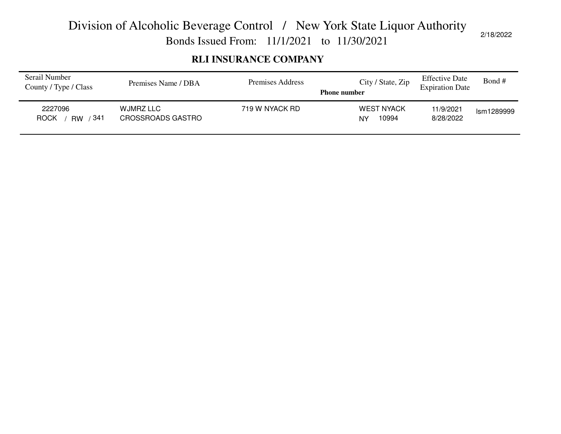Bonds Issued From: 11/1/2021 to 11/30/2021

#### **RLI INSURANCE COMPANY**

| Serail Number<br>County / Type / Class       | Premises Name / DBA                   | Premises Address | City / State, Zip<br><b>Phone number</b> | <b>Effective Date</b><br><b>Expiration Date</b> | Bond #     |
|----------------------------------------------|---------------------------------------|------------------|------------------------------------------|-------------------------------------------------|------------|
| 2227096<br>/ 341<br><b>ROCK</b><br><b>RW</b> | WJMRZ LLC<br><b>CROSSROADS GASTRO</b> | 719 W NYACK RD   | <b>WEST NYACK</b><br>10994<br>NY         | 11/9/2021<br>8/28/2022                          | Ism1289999 |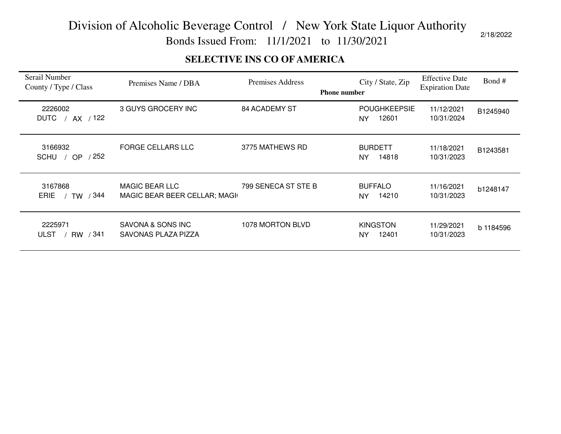Bonds Issued From: 11/1/2021 to 11/30/2021

#### **SELECTIVE INS CO OF AMERICA**

| Serail Number<br>County / Type / Class       | Premises Name / DBA                                    | Premises Address    | <b>Phone number</b> | City / State, Zip                   | <b>Effective Date</b><br><b>Expiration Date</b> | Bond#     |
|----------------------------------------------|--------------------------------------------------------|---------------------|---------------------|-------------------------------------|-------------------------------------------------|-----------|
| 2226002<br>AX / 122<br><b>DUTC</b>           | 3 GUYS GROCERY INC                                     | 84 ACADEMY ST       |                     | <b>POUGHKEEPSIE</b><br>12601<br>NY. | 11/12/2021<br>10/31/2024                        | B1245940  |
| 3166932<br>/252<br>SCHU /<br>OP              | <b>FORGE CELLARS LLC</b>                               | 3775 MATHEWS RD     |                     | <b>BURDETT</b><br>14818<br>NY.      | 11/18/2021<br>10/31/2023                        | B1243581  |
| 3167868<br>/ 344<br><b>ERIE</b><br>TW        | <b>MAGIC BEAR LLC</b><br>MAGIC BEAR BEER CELLAR; MAGIL | 799 SENECA ST STE B |                     | <b>BUFFALO</b><br>14210<br>NY.      | 11/16/2021<br>10/31/2023                        | b1248147  |
| 2225971<br>/ 341<br><b>ULST</b><br><b>RW</b> | SAVONA & SONS INC<br>SAVONAS PLAZA PIZZA               | 1078 MORTON BLVD    |                     | <b>KINGSTON</b><br>12401<br>NY.     | 11/29/2021<br>10/31/2023                        | b 1184596 |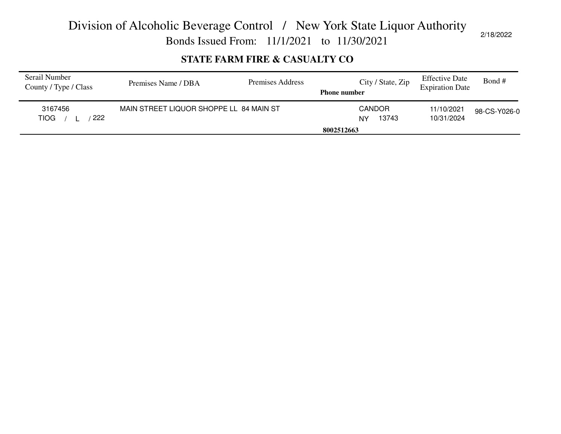Bonds Issued From: 11/1/2021 to 11/30/2021

#### **STATE FARM FIRE & CASUALTY CO**

| Serail Number<br>County / Type / Class | Premises Name / DBA                     | Premises Address | City / State, Zip<br><b>Phone number</b> | <b>Effective Date</b><br><b>Expiration Date</b> | Bond #       |
|----------------------------------------|-----------------------------------------|------------------|------------------------------------------|-------------------------------------------------|--------------|
| 3167456<br>222<br><b>TIOG</b>          | MAIN STREET LIQUOR SHOPPE LL 84 MAIN ST |                  | <b>CANDOR</b><br>13743<br>NY             | 11/10/2021<br>10/31/2024                        | 98-CS-Y026-0 |
|                                        |                                         |                  | 8002512663                               |                                                 |              |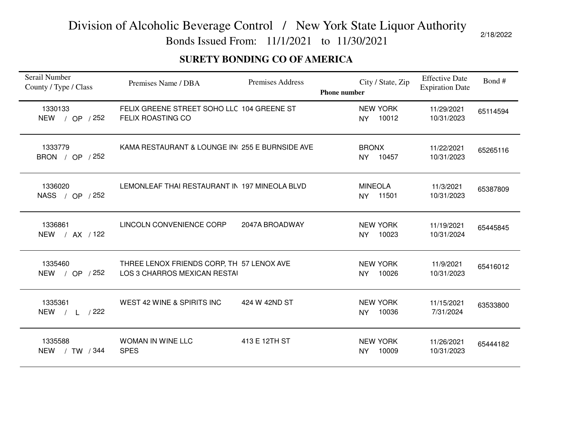Bonds Issued From: 11/1/2021 to 11/30/2021

#### **SURETY BONDING CO OF AMERICA**

| Serail Number<br>County / Type / Class | Premises Name / DBA                                                       | <b>Premises Address</b> | <b>Phone number</b> |                              | City / State, Zip | <b>Effective Date</b><br><b>Expiration Date</b> | Bond #   |
|----------------------------------------|---------------------------------------------------------------------------|-------------------------|---------------------|------------------------------|-------------------|-------------------------------------------------|----------|
| 1330133<br>NEW / OP / 252              | FELIX GREENE STREET SOHO LLC 104 GREENE ST<br><b>FELIX ROASTING CO</b>    |                         |                     | <b>NEW YORK</b><br><b>NY</b> | 10012             | 11/29/2021<br>10/31/2023                        | 65114594 |
| 1333779<br>BRON / OP / 252             | KAMA RESTAURANT & LOUNGE IN(255 E BURNSIDE AVE                            |                         |                     | <b>BRONX</b><br><b>NY</b>    | 10457             | 11/22/2021<br>10/31/2023                        | 65265116 |
| 1336020<br>NASS / OP / 252             | LEMONLEAF THAI RESTAURANT IN 197 MINEOLA BLVD                             |                         |                     | <b>MINEOLA</b><br><b>NY</b>  | 11501             | 11/3/2021<br>10/31/2023                         | 65387809 |
| 1336861<br>NEW / AX / 122              | LINCOLN CONVENIENCE CORP                                                  | 2047A BROADWAY          |                     | <b>NEW YORK</b><br><b>NY</b> | 10023             | 11/19/2021<br>10/31/2024                        | 65445845 |
| 1335460<br>NEW / OP / 252              | THREE LENOX FRIENDS CORP, TH 57 LENOX AVE<br>LOS 3 CHARROS MEXICAN RESTAI |                         |                     | <b>NEW YORK</b><br><b>NY</b> | 10026             | 11/9/2021<br>10/31/2023                         | 65416012 |
| 1335361<br>NEW / L / 222               | WEST 42 WINE & SPIRITS INC                                                | 424 W 42ND ST           |                     | <b>NEW YORK</b><br><b>NY</b> | 10036             | 11/15/2021<br>7/31/2024                         | 63533800 |
| 1335588<br>/ TW / 344<br><b>NEW</b>    | <b>WOMAN IN WINE LLC</b><br><b>SPES</b>                                   | 413 E 12TH ST           |                     | <b>NEW YORK</b><br><b>NY</b> | 10009             | 11/26/2021<br>10/31/2023                        | 65444182 |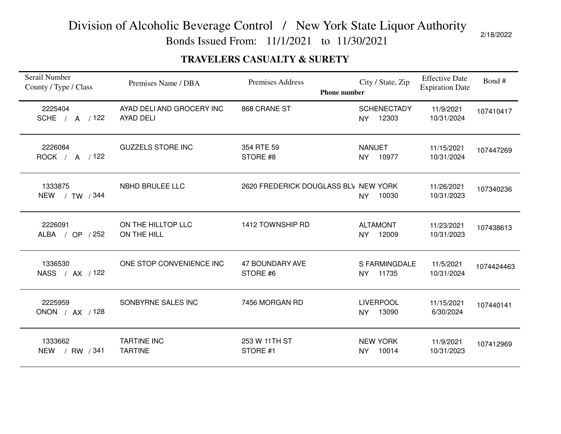Bonds Issued From: 11/1/2021 to 11/30/2021

#### **TRAVELERS CASUALTY & SURETY**

| Serail Number<br>County / Type / Class | Premises Name / DBA                           | <b>Premises Address</b><br><b>Phone number</b> | City / State, Zip                        | <b>Effective Date</b><br><b>Expiration Date</b> | Bond#      |
|----------------------------------------|-----------------------------------------------|------------------------------------------------|------------------------------------------|-------------------------------------------------|------------|
| 2225404<br>SCHE / A / 122              | AYAD DELI AND GROCERY INC<br><b>AYAD DELI</b> | 868 CRANE ST                                   | <b>SCHENECTADY</b><br>12303<br><b>NY</b> | 11/9/2021<br>10/31/2024                         | 107410417  |
| 2226084<br>ROCK / A / 122              | <b>GUZZELS STORE INC</b>                      | 354 RTE 59<br>STORE #8                         | <b>NANUET</b><br>NY<br>10977             | 11/15/2021<br>10/31/2024                        | 107447269  |
| 1333875<br>NEW / TW / 344              | NBHD BRULEE LLC                               | 2620 FREDERICK DOUGLASS BLV NEW YORK           | 10030<br>NY                              | 11/26/2021<br>10/31/2023                        | 107340236  |
| 2226091<br>ALBA / OP / 252             | ON THE HILLTOP LLC<br>ON THE HILL             | 1412 TOWNSHIP RD                               | <b>ALTAMONT</b><br><b>NY</b><br>12009    | 11/23/2021<br>10/31/2023                        | 107438613  |
| 1336530<br>NASS / AX / 122             | ONE STOP CONVENIENCE INC                      | <b>47 BOUNDARY AVE</b><br>STORE #6             | S FARMINGDALE<br>11735<br><b>NY</b>      | 11/5/2021<br>10/31/2024                         | 1074424463 |
| 2225959<br>ONON / AX / 128             | SONBYRNE SALES INC                            | 7456 MORGAN RD                                 | <b>LIVERPOOL</b><br>13090<br><b>NY</b>   | 11/15/2021<br>6/30/2024                         | 107440141  |
| 1333662<br>/ RW / 341<br><b>NEW</b>    | <b>TARTINE INC</b><br><b>TARTINE</b>          | 253 W 11TH ST<br>STORE #1                      | <b>NEW YORK</b><br>10014<br>NY           | 11/9/2021<br>10/31/2023                         | 107412969  |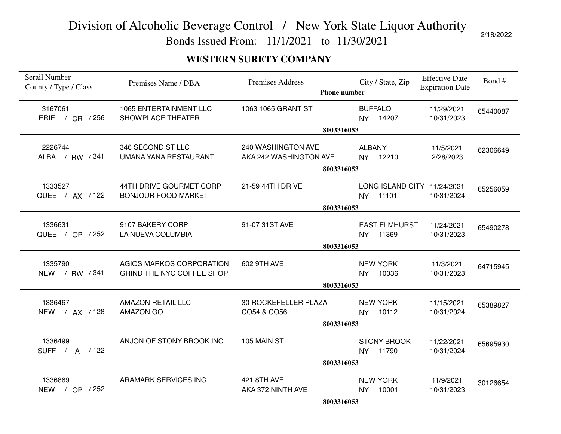Bonds Issued From: 11/1/2021 to 11/30/2021

#### **WESTERN SURETY COMPANY**

| Serail Number<br>County / Type / Class | Premises Name / DBA                                          | <b>Premises Address</b>                      | City / State, Zip<br><b>Phone number</b>            | <b>Effective Date</b><br><b>Expiration Date</b> | Bond#    |
|----------------------------------------|--------------------------------------------------------------|----------------------------------------------|-----------------------------------------------------|-------------------------------------------------|----------|
| 3167061<br><b>ERIE</b><br>/ $CR$ / 256 | <b>1065 ENTERTAINMENT LLC</b><br>SHOWPLACE THEATER           | 1063 1065 GRANT ST                           | <b>BUFFALO</b><br>14207<br>NY.                      | 11/29/2021<br>10/31/2023                        | 65440087 |
|                                        |                                                              |                                              | 8003316053                                          |                                                 |          |
| 2226744<br>ALBA / RW / 341             | 346 SECOND ST LLC<br>UMANA YANA RESTAURANT                   | 240 WASHINGTON AVE<br>AKA 242 WASHINGTON AVE | <b>ALBANY</b><br>12210<br><b>NY</b>                 | 11/5/2021<br>2/28/2023                          | 62306649 |
|                                        |                                                              |                                              | 8003316053                                          |                                                 |          |
| 1333527<br>QUEE / AX / 122             | 44TH DRIVE GOURMET CORP<br><b>BONJOUR FOOD MARKET</b>        | 21-59 44TH DRIVE                             | LONG ISLAND CITY 11/24/2021<br>11101<br><b>NY</b>   | 10/31/2024                                      | 65256059 |
|                                        |                                                              |                                              | 8003316053                                          |                                                 |          |
| 1336631<br>QUEE / OP / 252             | 9107 BAKERY CORP<br>LA NUEVA COLUMBIA                        | 91-07 31ST AVE                               | <b>EAST ELMHURST</b><br>11369<br>NY                 | 11/24/2021<br>10/31/2023                        | 65490278 |
|                                        |                                                              |                                              | 8003316053                                          |                                                 |          |
| 1335790<br>NEW / RW / 341              | AGIOS MARKOS CORPORATION<br><b>GRIND THE NYC COFFEE SHOP</b> | 602 9TH AVE                                  | <b>NEW YORK</b><br>10036<br>NY                      | 11/3/2021<br>10/31/2023                         | 64715945 |
|                                        |                                                              |                                              | 8003316053                                          |                                                 |          |
| 1336467<br>NEW / AX / 128              | <b>AMAZON RETAIL LLC</b><br><b>AMAZON GO</b>                 | 30 ROCKEFELLER PLAZA<br>CO54 & CO56          | <b>NEW YORK</b><br>10112<br><b>NY</b>               | 11/15/2021<br>10/31/2024                        | 65389827 |
|                                        |                                                              |                                              | 8003316053                                          |                                                 |          |
| 1336499<br>SUFF / A / 122              | ANJON OF STONY BROOK INC                                     | 105 MAIN ST                                  | <b>STONY BROOK</b><br>11790<br><b>NY</b>            | 11/22/2021<br>10/31/2024                        | 65695930 |
|                                        |                                                              |                                              | 8003316053                                          |                                                 |          |
| 1336869<br>NEW / OP / 252              | ARAMARK SERVICES INC                                         | 421 8TH AVE<br>AKA 372 NINTH AVE             | <b>NEW YORK</b><br>10001<br><b>NY</b><br>8003316053 | 11/9/2021<br>10/31/2023                         | 30126654 |
|                                        |                                                              |                                              |                                                     |                                                 |          |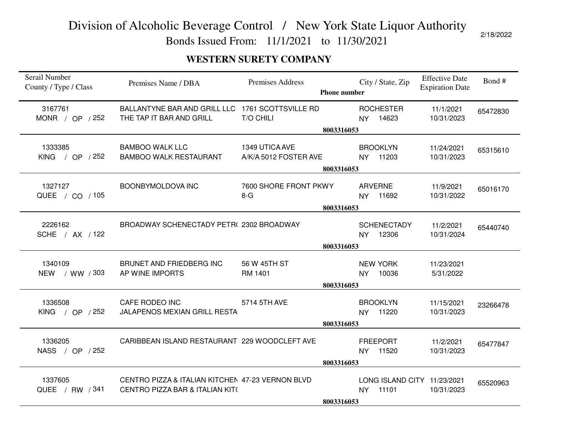Bonds Issued From: 11/1/2021 to 11/30/2021

#### **WESTERN SURETY COMPANY**

| Serail Number<br>County / Type / Class | Premises Name / DBA                                                          | Premises Address      | <b>Phone number</b> |                | City / State, Zip           | <b>Effective Date</b><br><b>Expiration Date</b> | Bond#    |
|----------------------------------------|------------------------------------------------------------------------------|-----------------------|---------------------|----------------|-----------------------------|-------------------------------------------------|----------|
| 3167761<br>MONR / OP $/252$            | BALLANTYNE BAR AND GRILL LLC 1761 SCOTTSVILLE RD<br>THE TAP IT BAR AND GRILL | <b>T/O CHILI</b>      |                     | NY.            | <b>ROCHESTER</b><br>14623   | 11/1/2021<br>10/31/2023                         | 65472830 |
|                                        |                                                                              |                       | 8003316053          |                |                             |                                                 |          |
| 1333385                                | <b>BAMBOO WALK LLC</b>                                                       | 1349 UTICA AVE        |                     |                | <b>BROOKLYN</b>             | 11/24/2021                                      | 65315610 |
| KING / OP $/252$                       | <b>BAMBOO WALK RESTAURANT</b>                                                | A/K/A 5012 FOSTER AVE |                     |                | NY 11203                    | 10/31/2023                                      |          |
|                                        |                                                                              |                       | 8003316053          |                |                             |                                                 |          |
|                                        |                                                                              |                       |                     |                |                             |                                                 |          |
| 1327127                                | BOONBYMOLDOVA INC                                                            | 7600 SHORE FRONT PKWY |                     | <b>ARVERNE</b> |                             | 11/9/2021                                       | 65016170 |
| QUEE / CO / 105                        |                                                                              | $8-G$                 |                     |                | NY 11692                    | 10/31/2022                                      |          |
|                                        |                                                                              |                       | 8003316053          |                |                             |                                                 |          |
|                                        |                                                                              |                       |                     |                |                             |                                                 |          |
| 2226162                                | BROADWAY SCHENECTADY PETR(2302 BROADWAY                                      |                       |                     |                | <b>SCHENECTADY</b>          | 11/2/2021                                       | 65440740 |
| SCHE / AX / 122                        |                                                                              |                       |                     | <b>NY</b>      | 12306                       | 10/31/2024                                      |          |
|                                        |                                                                              |                       | 8003316053          |                |                             |                                                 |          |
| 1340109                                | BRUNET AND FRIEDBERG INC                                                     | 56 W 45TH ST          |                     |                | <b>NEW YORK</b>             | 11/23/2021                                      |          |
| NEW / WW / 303                         | AP WINE IMPORTS                                                              | RM 1401               |                     | NY.            | 10036                       | 5/31/2022                                       |          |
|                                        |                                                                              |                       | 8003316053          |                |                             |                                                 |          |
|                                        |                                                                              |                       |                     |                |                             |                                                 |          |
| 1336508                                | CAFE RODEO INC                                                               | 5714 5TH AVE          |                     |                | <b>BROOKLYN</b>             | 11/15/2021                                      | 23266478 |
| KING / OP $/252$                       | JALAPENOS MEXIAN GRILL RESTA                                                 |                       |                     |                | NY 11220                    | 10/31/2023                                      |          |
|                                        |                                                                              |                       | 8003316053          |                |                             |                                                 |          |
| 1336205                                | CARIBBEAN ISLAND RESTAURANT 229 WOODCLEFT AVE                                |                       |                     |                | <b>FREEPORT</b>             |                                                 |          |
| NASS / OP / 252                        |                                                                              |                       |                     | <b>NY</b>      | 11520                       | 11/2/2021<br>10/31/2023                         | 65477847 |
|                                        |                                                                              |                       |                     |                |                             |                                                 |          |
|                                        |                                                                              |                       | 8003316053          |                |                             |                                                 |          |
| 1337605                                | CENTRO PIZZA & ITALIAN KITCHEN 47-23 VERNON BLVD                             |                       |                     |                | LONG ISLAND CITY 11/23/2021 |                                                 | 65520963 |
| QUEE / RW / 341                        | CENTRO PIZZA BAR & ITALIAN KIT(                                              |                       |                     | <b>NY</b>      | 11101                       | 10/31/2023                                      |          |
|                                        |                                                                              |                       | 8003316053          |                |                             |                                                 |          |
|                                        |                                                                              |                       |                     |                |                             |                                                 |          |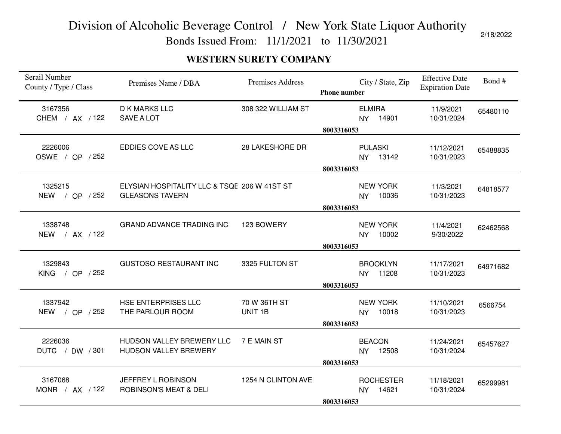Bonds Issued From: 11/1/2021 to 11/30/2021

#### **WESTERN SURETY COMPANY**

| Serail Number<br>County / Type / Class | Premises Name / DBA                                                    | <b>Premises Address</b>            | City / State, Zip<br><b>Phone number</b>             | <b>Effective Date</b><br><b>Expiration Date</b> | Bond#    |
|----------------------------------------|------------------------------------------------------------------------|------------------------------------|------------------------------------------------------|-------------------------------------------------|----------|
| 3167356<br>CHEM / AX / 122             | <b>D K MARKS LLC</b><br><b>SAVE A LOT</b>                              | 308 322 WILLIAM ST                 | <b>ELMIRA</b><br>14901<br><b>NY</b><br>8003316053    | 11/9/2021<br>10/31/2024                         | 65480110 |
| 2226006<br>OSWE / OP / 252             | EDDIES COVE AS LLC                                                     | 28 LAKESHORE DR                    | <b>PULASKI</b><br>NY 13142<br>8003316053             | 11/12/2021<br>10/31/2023                        | 65488835 |
| 1325215<br>NEW / OP / 252              | ELYSIAN HOSPITALITY LLC & TSQE 206 W 41ST ST<br><b>GLEASONS TAVERN</b> |                                    | <b>NEW YORK</b><br>10036<br><b>NY</b><br>8003316053  | 11/3/2021<br>10/31/2023                         | 64818577 |
| 1338748<br>NEW / AX / 122              | <b>GRAND ADVANCE TRADING INC</b>                                       | 123 BOWERY                         | <b>NEW YORK</b><br>10002<br><b>NY</b><br>8003316053  | 11/4/2021<br>9/30/2022                          | 62462568 |
| 1329843<br>KING / OP / 252             | <b>GUSTOSO RESTAURANT INC</b>                                          | 3325 FULTON ST                     | <b>BROOKLYN</b><br>NY 11208<br>8003316053            | 11/17/2021<br>10/31/2023                        | 64971682 |
| 1337942<br>NEW / OP / 252              | HSE ENTERPRISES LLC<br>THE PARLOUR ROOM                                | 70 W 36TH ST<br>UNIT <sub>1B</sub> | <b>NEW YORK</b><br>10018<br>NY.<br>8003316053        | 11/10/2021<br>10/31/2023                        | 6566754  |
| 2226036<br>DUTC / DW / 301             | HUDSON VALLEY BREWERY LLC<br>HUDSON VALLEY BREWERY                     | 7 E MAIN ST                        | <b>BEACON</b><br>12508<br><b>NY</b><br>8003316053    | 11/24/2021<br>10/31/2024                        | 65457627 |
| 3167068<br>MONR / $AX$ / 122           | JEFFREY L ROBINSON<br><b>ROBINSON'S MEAT &amp; DELI</b>                | 1254 N CLINTON AVE                 | <b>ROCHESTER</b><br>14621<br><b>NY</b><br>8003316053 | 11/18/2021<br>10/31/2024                        | 65299981 |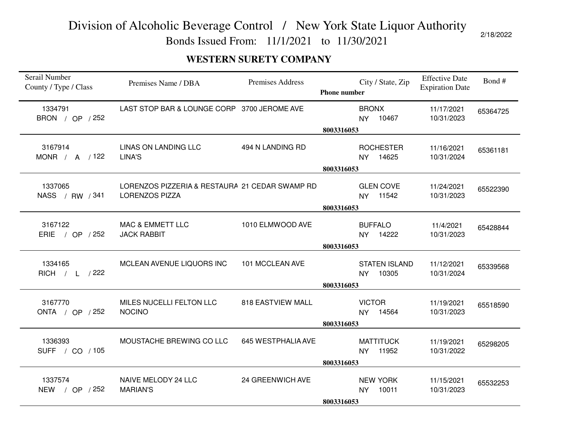Bonds Issued From: 11/1/2021 to 11/30/2021

#### **WESTERN SURETY COMPANY**

| Serail Number<br>County / Type / Class | Premises Name / DBA                                                     | <b>Premises Address</b> | <b>Phone number</b> | City / State, Zip                          | <b>Effective Date</b><br><b>Expiration Date</b> | Bond#    |
|----------------------------------------|-------------------------------------------------------------------------|-------------------------|---------------------|--------------------------------------------|-------------------------------------------------|----------|
| 1334791<br>BRON / OP / 252             | LAST STOP BAR & LOUNGE CORP 3700 JEROME AVE                             |                         | 8003316053          | <b>BRONX</b><br>10467<br><b>NY</b>         | 11/17/2021<br>10/31/2023                        | 65364725 |
| 3167914<br>MONR / $A$ / 122            | <b>LINAS ON LANDING LLC</b><br>LINA'S                                   | 494 N LANDING RD        | 8003316053          | <b>ROCHESTER</b><br>14625<br><b>NY</b>     | 11/16/2021<br>10/31/2024                        | 65361181 |
| 1337065<br>NASS / RW / 341             | LORENZOS PIZZERIA & RESTAURA 21 CEDAR SWAMP RD<br><b>LORENZOS PIZZA</b> |                         | 8003316053          | <b>GLEN COVE</b><br>11542<br>NY ·          | 11/24/2021<br>10/31/2023                        | 65522390 |
| 3167122<br><b>ERIE</b><br>/ OP / 252   | <b>MAC &amp; EMMETT LLC</b><br><b>JACK RABBIT</b>                       | 1010 ELMWOOD AVE        | 8003316053          | <b>BUFFALO</b><br>14222<br><b>NY</b>       | 11/4/2021<br>10/31/2023                         | 65428844 |
| 1334165<br>RICH / L / 222              | MCLEAN AVENUE LIQUORS INC                                               | 101 MCCLEAN AVE         | 8003316053          | <b>STATEN ISLAND</b><br>10305<br><b>NY</b> | 11/12/2021<br>10/31/2024                        | 65339568 |
| 3167770<br>ONTA / OP / 252             | MILES NUCELLI FELTON LLC<br><b>NOCINO</b>                               | 818 EASTVIEW MALL       | 8003316053          | <b>VICTOR</b><br><b>NY</b><br>14564        | 11/19/2021<br>10/31/2023                        | 65518590 |
| 1336393<br>SUFF / CO / 105             | MOUSTACHE BREWING CO LLC                                                | 645 WESTPHALIA AVE      | 8003316053          | <b>MATTITUCK</b><br>11952<br><b>NY</b>     | 11/19/2021<br>10/31/2022                        | 65298205 |
| 1337574<br>NEW / OP / 252              | NAIVE MELODY 24 LLC<br><b>MARIAN'S</b>                                  | 24 GREENWICH AVE        | 8003316053          | <b>NEW YORK</b><br>10011<br>NY             | 11/15/2021<br>10/31/2023                        | 65532253 |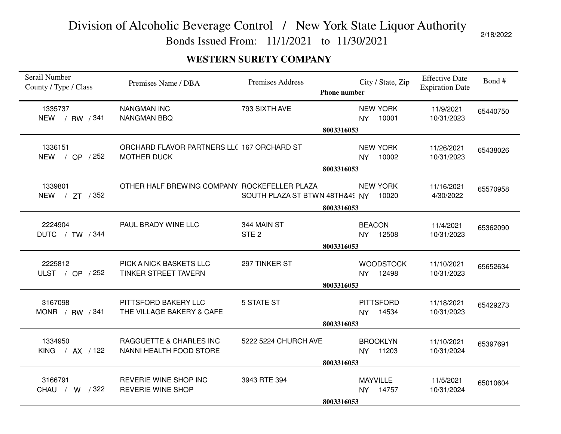Bonds Issued From: 11/1/2021 to 11/30/2021

#### **WESTERN SURETY COMPANY**

| Serail Number<br>County / Type / Class | Premises Name / DBA                                              | <b>Premises Address</b><br><b>Phone number</b> | City / State, Zip                      | <b>Effective Date</b><br><b>Expiration Date</b> | Bond#    |
|----------------------------------------|------------------------------------------------------------------|------------------------------------------------|----------------------------------------|-------------------------------------------------|----------|
| 1335737<br>NEW / RW / 341              | <b>NANGMAN INC</b><br><b>NANGMAN BBQ</b>                         | 793 SIXTH AVE                                  | <b>NEW YORK</b><br>10001<br><b>NY</b>  | 11/9/2021<br>10/31/2023                         | 65440750 |
|                                        | 8003316053                                                       |                                                |                                        |                                                 |          |
| 1336151<br>NEW / OP / 252              | ORCHARD FLAVOR PARTNERS LLC 167 ORCHARD ST<br><b>MOTHER DUCK</b> |                                                | <b>NEW YORK</b><br>10002<br><b>NY</b>  | 11/26/2021<br>10/31/2023                        | 65438026 |
|                                        | 8003316053                                                       |                                                |                                        |                                                 |          |
| 1339801<br>NEW / ZT / 352              | OTHER HALF BREWING COMPANY ROCKEFELLER PLAZA                     | SOUTH PLAZA ST BTWN 48TH&45 NY                 | <b>NEW YORK</b><br>10020               | 11/16/2021<br>4/30/2022                         | 65570958 |
|                                        |                                                                  | 8003316053                                     |                                        |                                                 |          |
| 2224904<br>DUTC / TW / 344             | PAUL BRADY WINE LLC                                              | 344 MAIN ST<br>STE <sub>2</sub>                | <b>BEACON</b><br>12508<br><b>NY</b>    | 11/4/2021<br>10/31/2023                         | 65362090 |
|                                        | 8003316053                                                       |                                                |                                        |                                                 |          |
| 2225812<br>ULST / OP / 252             | PICK A NICK BASKETS LLC<br><b>TINKER STREET TAVERN</b>           | 297 TINKER ST<br>8003316053                    | <b>WOODSTOCK</b><br>NY 12498           | 11/10/2021<br>10/31/2023                        | 65652634 |
| 3167098<br>MONR / RW / 341             | PITTSFORD BAKERY LLC<br>THE VILLAGE BAKERY & CAFE                | 5 STATE ST                                     | <b>PITTSFORD</b><br>14534<br><b>NY</b> | 11/18/2021<br>10/31/2023                        | 65429273 |
|                                        | 8003316053                                                       |                                                |                                        |                                                 |          |
| 1334950<br>KING / AX / 122             | RAGGUETTE & CHARLES INC<br>NANNI HEALTH FOOD STORE               | 5222 5224 CHURCH AVE                           | <b>BROOKLYN</b><br>11203<br>NY.        | 11/10/2021<br>10/31/2024                        | 65397691 |
|                                        | 8003316053                                                       |                                                |                                        |                                                 |          |
| 3166791<br>CHAU / W / 322              | REVERIE WINE SHOP INC<br><b>REVERIE WINE SHOP</b>                | 3943 RTE 394                                   | <b>MAYVILLE</b><br>NY 14757            | 11/5/2021<br>10/31/2024                         | 65010604 |
|                                        | 8003316053                                                       |                                                |                                        |                                                 |          |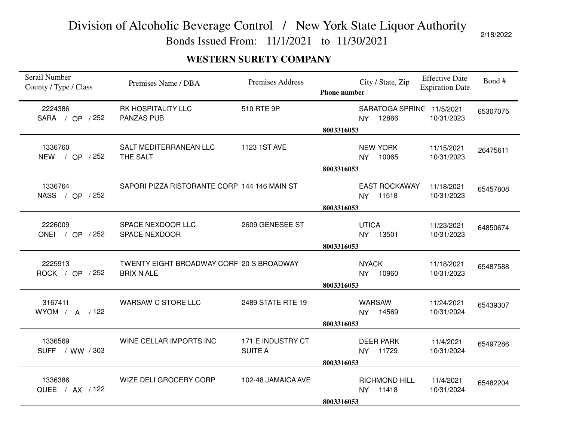Bonds Issued From: 11/1/2021 to 11/30/2021

#### **WESTERN SURETY COMPANY**

| Serail Number<br>County / Type / Class | Premises Name / DBA                                           | <b>Premises Address</b>             | <b>Phone number</b> | City / State, Zip                          | <b>Effective Date</b><br><b>Expiration Date</b> | Bond#    |
|----------------------------------------|---------------------------------------------------------------|-------------------------------------|---------------------|--------------------------------------------|-------------------------------------------------|----------|
| 2224386<br>SARA / OP / 252             | <b>RK HOSPITALITY LLC</b><br><b>PANZAS PUB</b>                | 510 RTE 9P                          | 8003316053          | SARATOGA SPRINC 11/5/2021<br>12866<br>NY   | 10/31/2023                                      | 65307075 |
| 1336760<br>NEW / OP / 252              | SALT MEDITERRANEAN LLC<br>THE SALT                            | 1123 1ST AVE                        | 8003316053          | <b>NEW YORK</b><br>10065<br><b>NY</b>      | 11/15/2021<br>10/31/2023                        | 26475611 |
| 1336764<br>NASS / OP / 252             | SAPORI PIZZA RISTORANTE CORP 144 146 MAIN ST                  |                                     | 8003316053          | <b>EAST ROCKAWAY</b><br>11518<br><b>NY</b> | 11/18/2021<br>10/31/2023                        | 65457808 |
| 2226009<br>ONEI / OP / 252             | SPACE NEXDOOR LLC<br><b>SPACE NEXDOOR</b>                     | 2609 GENESEE ST                     | 8003316053          | <b>UTICA</b><br>13501<br><b>NY</b>         | 11/23/2021<br>10/31/2023                        | 64850674 |
| 2225913<br>ROCK / OP / 252             | TWENTY EIGHT BROADWAY CORF 20 S BROADWAY<br><b>BRIX N ALE</b> |                                     | 8003316053          | <b>NYACK</b><br>10960<br><b>NY</b>         | 11/18/2021<br>10/31/2023                        | 65487588 |
| 3167411<br>WYOM / A / 122              | WARSAW C STORE LLC                                            | 2489 STATE RTE 19                   | 8003316053          | <b>WARSAW</b><br>14569<br><b>NY</b>        | 11/24/2021<br>10/31/2024                        | 65439307 |
| 1336569<br>SUFF / WW / 303             | WINE CELLAR IMPORTS INC                                       | 171 E INDUSTRY CT<br><b>SUITE A</b> | 8003316053          | <b>DEER PARK</b><br>11729<br><b>NY</b>     | 11/4/2021<br>10/31/2024                         | 65497286 |
| 1336386<br>QUEE / AX / 122             | WIZE DELI GROCERY CORP                                        | 102-48 JAMAICA AVE                  | 8003316053          | <b>RICHMOND HILL</b><br>11418<br><b>NY</b> | 11/4/2021<br>10/31/2024                         | 65482204 |